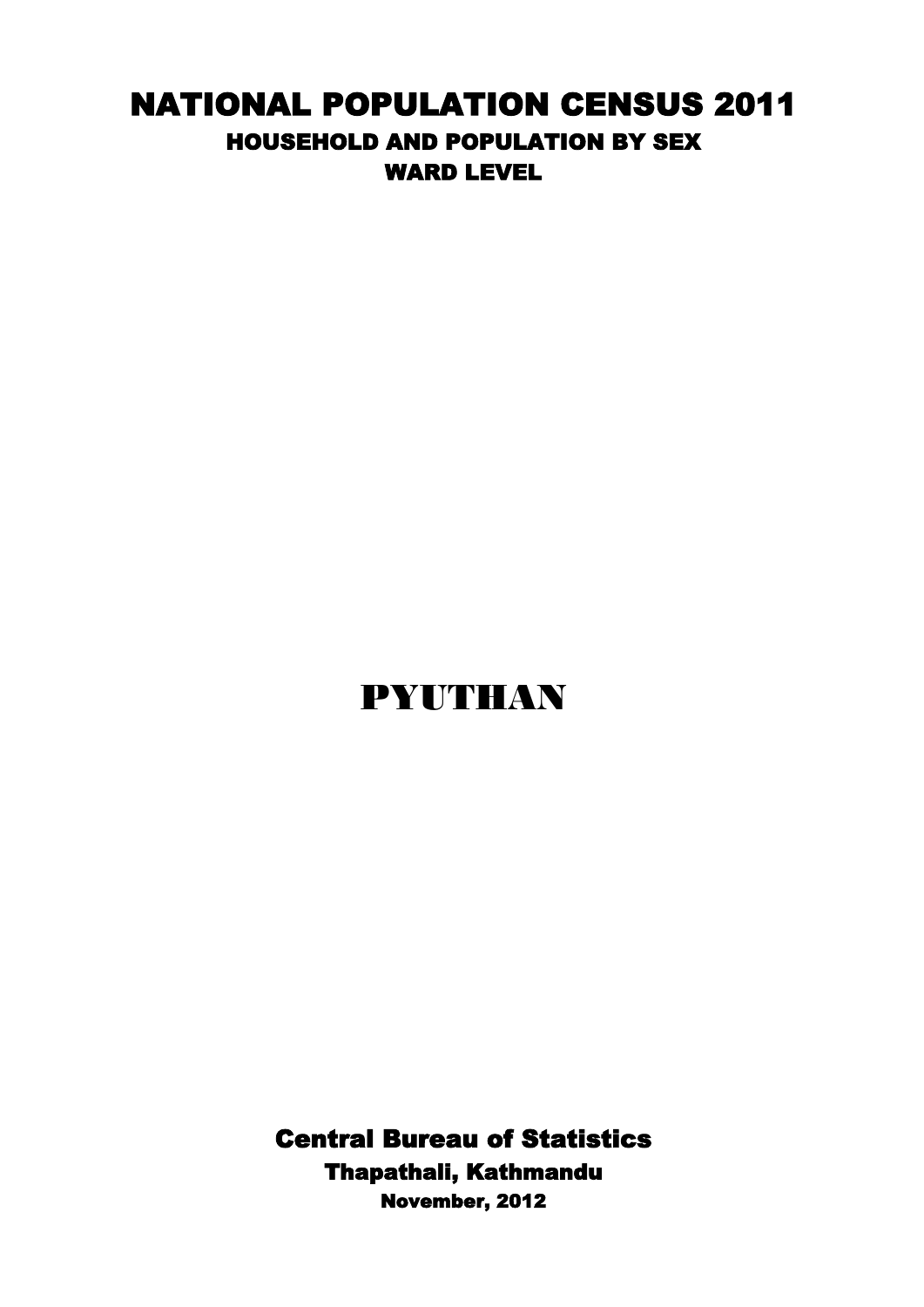## NATIONAL POPULATION CENSUS 2011 HOUSEHOLD AND POPULATION BY SEX WARD LEVEL

## PYUTHAN

Central Bureau of Statistics Thapathali, Kathmandu November, 2012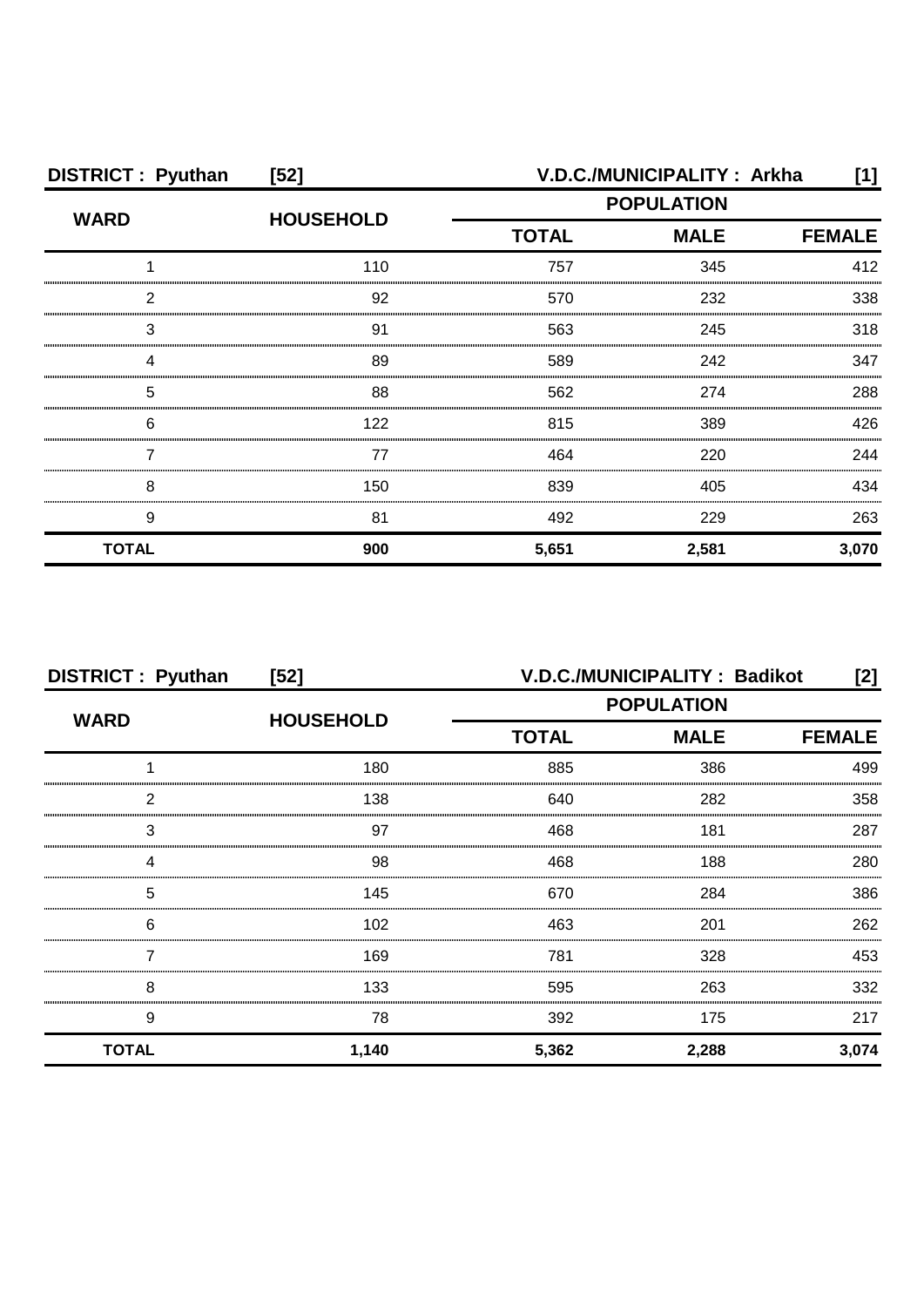| <b>DISTRICT: Pyuthan</b> | $[52]$           | V.D.C./MUNICIPALITY: Arkha<br>[1] |                   |       |
|--------------------------|------------------|-----------------------------------|-------------------|-------|
| <b>WARD</b>              | <b>HOUSEHOLD</b> |                                   | <b>POPULATION</b> |       |
|                          |                  | <b>TOTAL</b>                      | <b>FEMALE</b>     |       |
|                          | 110              | 757                               | 345               | 412   |
| 2                        | 92               | 570                               | 232               | 338   |
| 3                        | 91               | 563                               | 245               | 318   |
|                          | 89               | 589                               | 242               | 347   |
| 5                        | 88               | 562                               | 274               | 288   |
| 6                        | 122              | 815                               | 389               | 426   |
|                          | 77               | 464                               | 220               | 244   |
| 8                        | 150              | 839                               | 405               | 434   |
| 9                        | 81               | 492                               | 229               | 263   |
| <b>TOTAL</b>             | 900              | 5,651                             | 2,581             | 3,070 |

| <b>DISTRICT: Pyuthan</b> | $[52]$           | V.D.C./MUNICIPALITY: Badikot<br>[2] |             |               |
|--------------------------|------------------|-------------------------------------|-------------|---------------|
| <b>WARD</b>              | <b>HOUSEHOLD</b> | <b>POPULATION</b>                   |             |               |
|                          |                  | <b>TOTAL</b>                        | <b>MALE</b> | <b>FEMALE</b> |
|                          | 180              | 885                                 | 386         | 499           |
| 2                        | 138              | 640                                 | 282         | 358           |
| 3                        | 97               | 468                                 | 181         | 287           |
| 4                        | 98               | 468                                 | 188         | 280           |
| 5                        | 145              | 670                                 | 284         | 386           |
| 6                        | 102              | 463                                 | 201         | 262           |
|                          | 169              | 781                                 | 328         | 453           |
| 8                        | 133              | 595                                 | 263         | 332           |
| 9                        | 78               | 392                                 | 175         | 217           |
| <b>TOTAL</b>             | 1,140            | 5,362                               | 2,288       | 3,074         |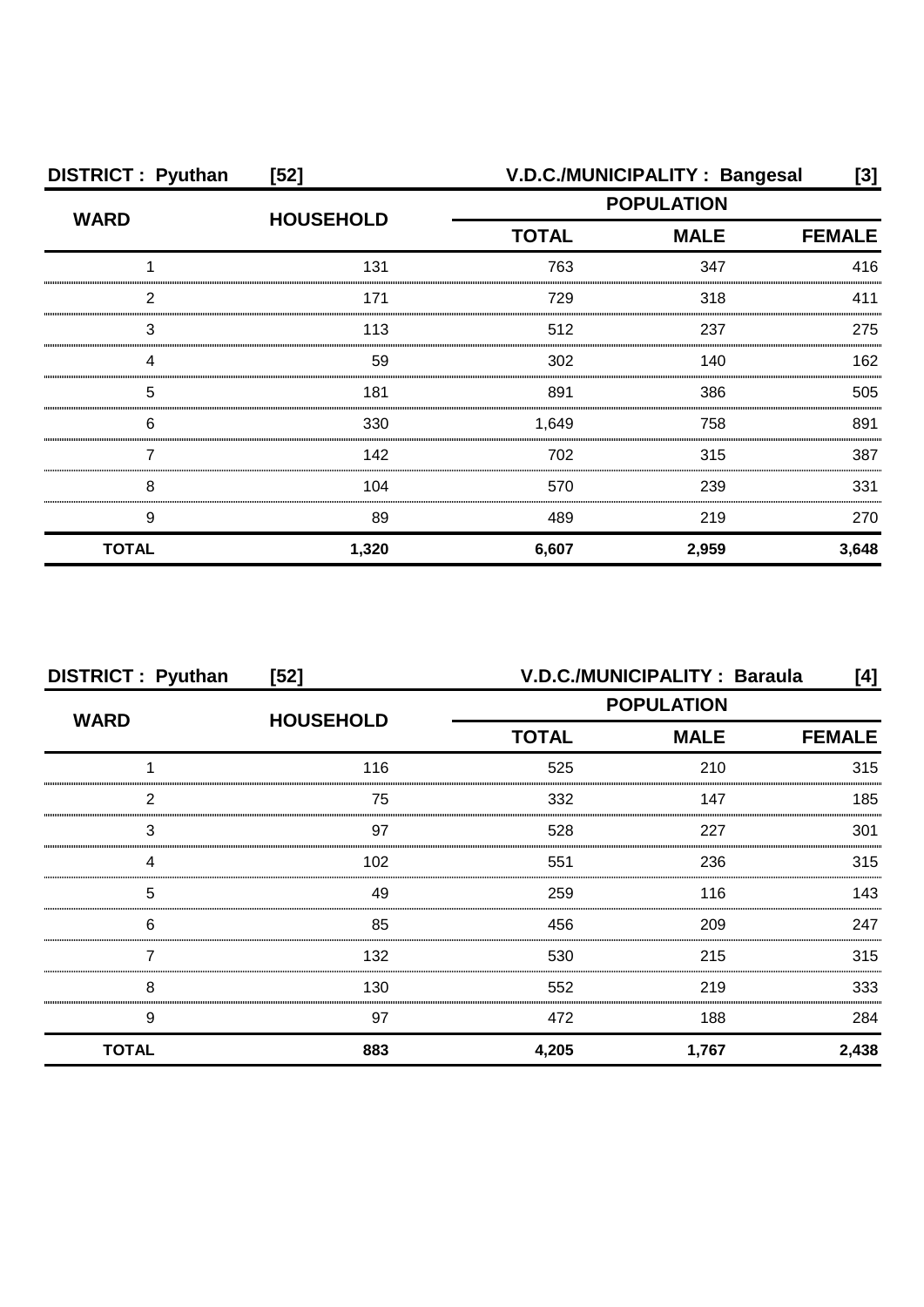| <b>DISTRICT: Pyuthan</b> | $[52]$           | V.D.C./MUNICIPALITY: Bangesal |                              |       |
|--------------------------|------------------|-------------------------------|------------------------------|-------|
| <b>WARD</b>              | <b>HOUSEHOLD</b> | <b>POPULATION</b>             |                              |       |
|                          |                  | <b>TOTAL</b>                  | <b>MALE</b><br><b>FEMALE</b> |       |
|                          | 131              | 763                           | 347                          | 416   |
| 2                        | 171              | 729                           | 318                          | 411   |
| 3                        | 113              | 512                           | 237                          | 275   |
|                          | 59               | 302                           | 140                          | 162   |
| 5                        | 181              | 891                           | 386                          | 505   |
| 6                        | 330              | 1,649                         | 758                          | 891   |
|                          | 142              | 702                           | 315                          | 387   |
| 8                        | 104              | 570                           | 239                          | 331   |
| 9                        | 89               | 489                           | 219                          | 270   |
| <b>TOTAL</b>             | 1,320            | 6,607                         | 2,959                        | 3,648 |

| <b>DISTRICT: Pyuthan</b> | $[52]$           | V.D.C./MUNICIPALITY: Baraula<br>[4] |             |               |
|--------------------------|------------------|-------------------------------------|-------------|---------------|
| <b>WARD</b>              | <b>HOUSEHOLD</b> | <b>POPULATION</b>                   |             |               |
|                          |                  | <b>TOTAL</b>                        | <b>MALE</b> | <b>FEMALE</b> |
|                          | 116              | 525                                 | 210         | 315           |
| 2                        | 75               | 332                                 | 147         | 185           |
| 3                        | 97               | 528                                 | 227         | 301           |
|                          | 102              | 551                                 | 236         | 315           |
| 5                        | 49               | 259                                 | 116         | 143           |
| 6                        | 85               | 456                                 | 209         | 247           |
|                          | 132              | 530                                 | 215         | 315           |
| 8                        | 130              | 552                                 | 219         | 333           |
| 9                        | 97               | 472                                 | 188         | 284           |
| <b>TOTAL</b>             | 883              | 4,205                               | 1,767       | 2,438         |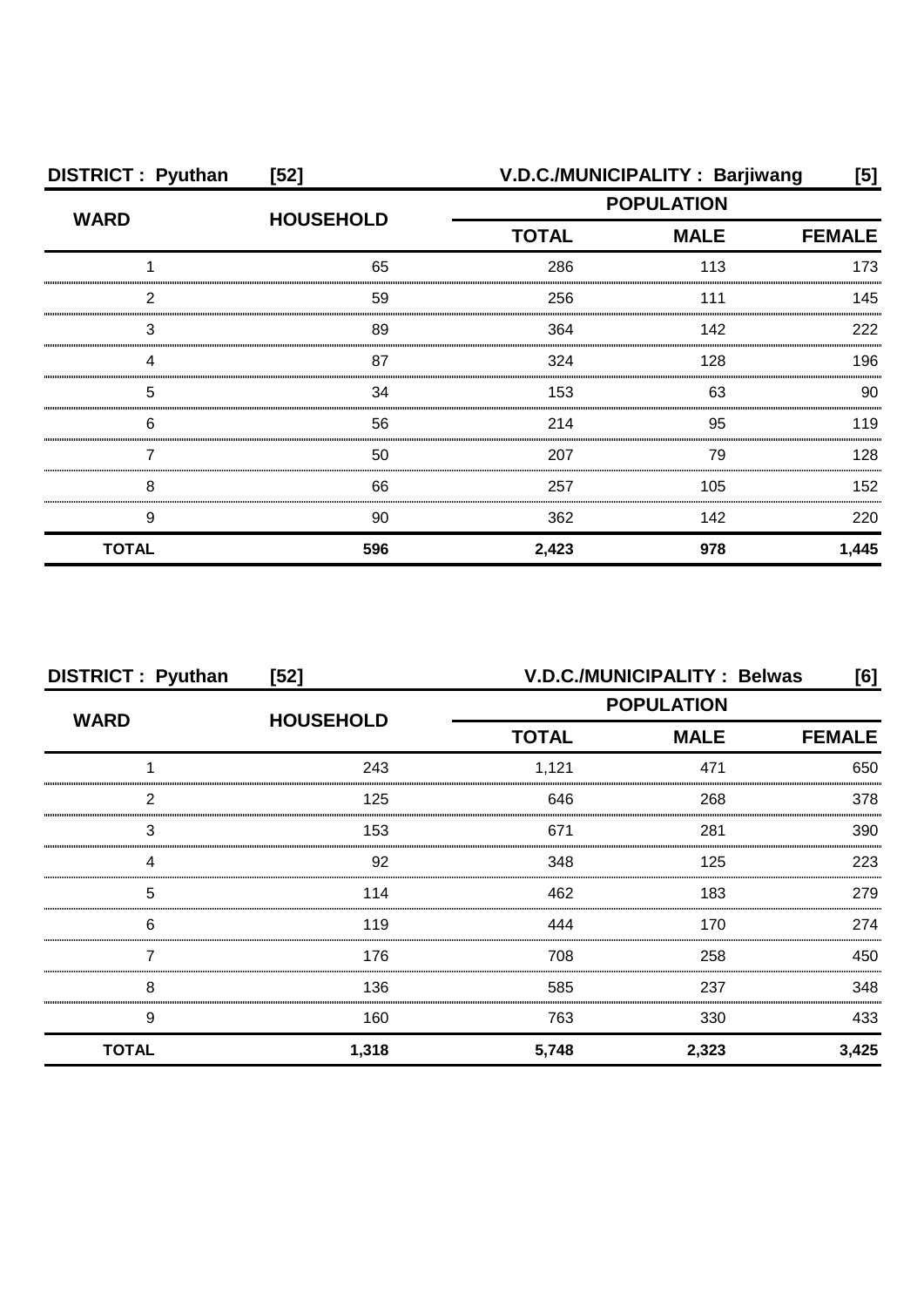| <b>DISTRICT: Pyuthan</b> | $[52]$           |                             | V.D.C./MUNICIPALITY: Barjiwang | [5]           |
|--------------------------|------------------|-----------------------------|--------------------------------|---------------|
| <b>WARD</b>              | <b>HOUSEHOLD</b> | <b>POPULATION</b>           |                                |               |
|                          |                  | <b>TOTAL</b><br><b>MALE</b> |                                | <b>FEMALE</b> |
|                          | 65               | 286                         | 113                            | 173           |
| 2                        | 59               | 256                         | 111                            | 145           |
| З                        | 89               | 364                         | 142                            | 222           |
| Δ                        | 87               | 324                         | 128                            | 196           |
| 5                        | 34               | 153                         | 63                             | 90            |
| 6                        | 56               | 214                         | 95                             | 119           |
|                          | 50               | 207                         | 79                             | 128           |
| 8                        | 66               | 257                         | 105                            | 152           |
| 9                        | 90               | 362                         | 142                            | 220           |
| <b>TOTAL</b>             | 596              | 2,423                       | 978                            | 1,445         |

| <b>DISTRICT: Pyuthan</b> | $[52]$           | V.D.C./MUNICIPALITY: Belwas<br>[6] |             |               |
|--------------------------|------------------|------------------------------------|-------------|---------------|
| <b>WARD</b>              | <b>HOUSEHOLD</b> | <b>POPULATION</b>                  |             |               |
|                          |                  | <b>TOTAL</b>                       | <b>MALE</b> | <b>FEMALE</b> |
|                          | 243              | 1,121                              | 471         | 650           |
| 2                        | 125              | 646                                | 268         | 378           |
| 3                        | 153              | 671                                | 281         | 390           |
|                          | 92               | 348                                | 125         | 223           |
| 5                        | 114              | 462                                | 183         | 279           |
| 6                        | 119              | 444                                | 170         | 274           |
|                          | 176              | 708                                | 258         | 450           |
| 8                        | 136              | 585                                | 237         | 348           |
| 9                        | 160              | 763                                | 330         | 433           |
| <b>TOTAL</b>             | 1,318            | 5,748                              | 2,323       | 3,425         |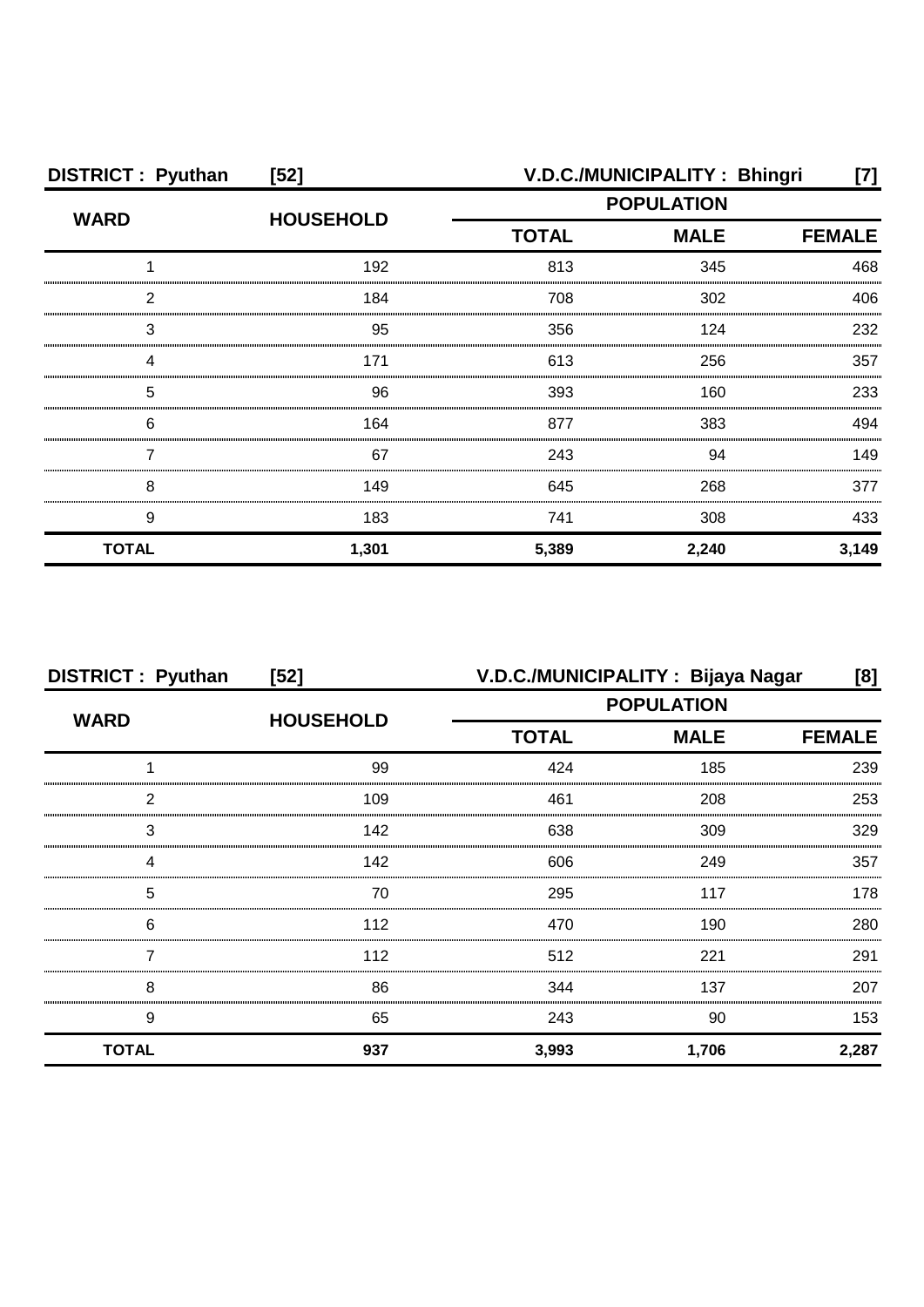| <b>DISTRICT: Pyuthan</b> | $[52]$           |                   | V.D.C./MUNICIPALITY: Bhingri | [7]   |
|--------------------------|------------------|-------------------|------------------------------|-------|
| <b>WARD</b>              | <b>HOUSEHOLD</b> | <b>POPULATION</b> |                              |       |
|                          |                  | <b>TOTAL</b>      | <b>MALE</b><br><b>FEMALE</b> |       |
|                          | 192              | 813               | 345                          | 468   |
| っ                        | 184              | 708               | 302                          | 406   |
| 3                        | 95               | 356               | 124                          | 232   |
|                          | 171              | 613               | 256                          | 357   |
| 5                        | 96               | 393               | 160                          | 233   |
| 6                        | 164              | 877               | 383                          | 494   |
|                          | 67               | 243               | 94                           | 149   |
| 8                        | 149              | 645               | 268                          | 377   |
| 9                        | 183              | 741               | 308                          | 433   |
| <b>TOTAL</b>             | 1,301            | 5,389             | 2,240                        | 3,149 |

| <b>DISTRICT: Pyuthan</b> | $[52]$           | V.D.C./MUNICIPALITY: Bijaya Nagar |               | [8]   |
|--------------------------|------------------|-----------------------------------|---------------|-------|
| <b>WARD</b>              | <b>HOUSEHOLD</b> | <b>POPULATION</b><br><b>MALE</b>  |               |       |
|                          |                  | <b>TOTAL</b>                      | <b>FEMALE</b> |       |
|                          | 99               | 424                               | 185           | 239   |
| 2                        | 109              | 461                               | 208           | 253   |
| 3                        | 142              | 638                               | 309           | 329   |
| Δ                        | 142              | 606                               | 249           | 357   |
| 5                        | 70               | 295                               | 117           | 178   |
| 6                        | 112              | 470                               | 190           | 280   |
|                          | 112              | 512                               | 221           | 291   |
| 8                        | 86               | 344                               | 137           | 207   |
| 9                        | 65               | 243                               | 90            | 153   |
| <b>TOTAL</b>             | 937              | 3,993                             | 1,706         | 2,287 |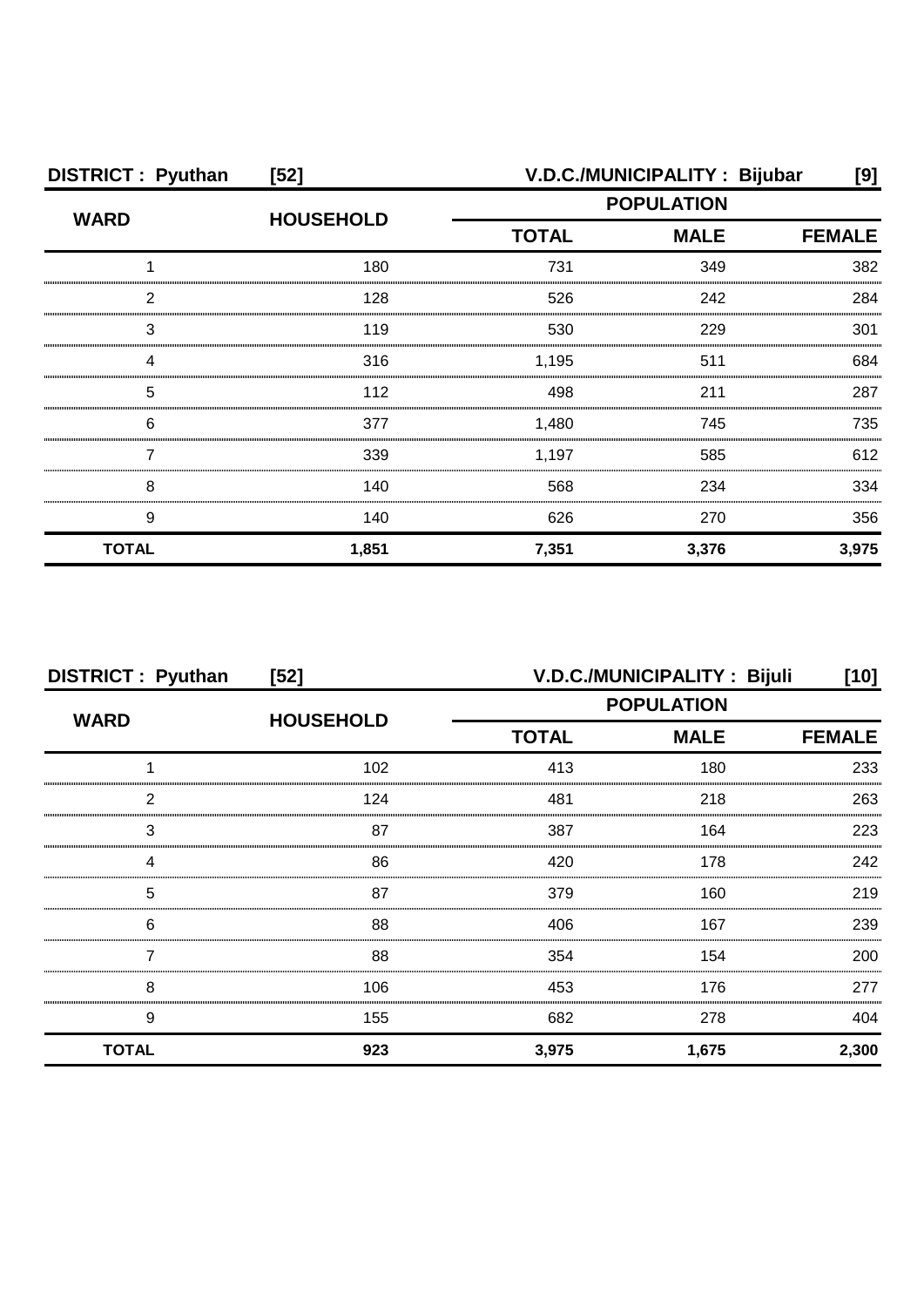| <b>DISTRICT: Pyuthan</b> | $[52]$           |                                                  | V.D.C./MUNICIPALITY: Bijubar | [9]   |
|--------------------------|------------------|--------------------------------------------------|------------------------------|-------|
| <b>WARD</b>              | <b>HOUSEHOLD</b> | <b>POPULATION</b><br><b>MALE</b><br><b>TOTAL</b> |                              |       |
|                          |                  |                                                  | <b>FEMALE</b>                |       |
|                          | 180              | 731                                              | 349                          | 382   |
| っ                        | 128              | 526                                              | 242                          | 284   |
| 3                        | 119              | 530                                              | 229                          | 301   |
|                          | 316              | 1,195                                            | 511                          | 684   |
| 5                        | 112              | 498                                              | 211                          | 287   |
| 6                        | 377              | 1,480                                            | 745                          | 735   |
|                          | 339              | 1,197                                            | 585                          | 612   |
| 8                        | 140              | 568                                              | 234                          | 334   |
| 9                        | 140              | 626                                              | 270                          | 356   |
| <b>TOTAL</b>             | 1,851            | 7,351                                            | 3,376                        | 3,975 |

| <b>DISTRICT: Pyuthan</b> | $[52]$           |                             | V.D.C./MUNICIPALITY: Bijuli | [10]          |
|--------------------------|------------------|-----------------------------|-----------------------------|---------------|
| <b>WARD</b>              | <b>HOUSEHOLD</b> | <b>POPULATION</b>           |                             |               |
|                          |                  | <b>MALE</b><br><b>TOTAL</b> |                             | <b>FEMALE</b> |
|                          | 102              | 413                         | 180                         | 233           |
| 2                        | 124              | 481                         | 218                         | 263           |
| 3                        | 87               | 387                         | 164                         | 223           |
|                          | 86               | 420                         | 178                         | 242           |
| 5                        | 87               | 379                         | 160                         | 219           |
| 6                        | 88               | 406                         | 167                         | 239           |
|                          | 88               | 354                         | 154                         | 200           |
| 8                        | 106              | 453                         | 176                         | 277           |
| 9                        | 155              | 682                         | 278                         | 404           |
| <b>TOTAL</b>             | 923              | 3,975                       | 1,675                       | 2,300         |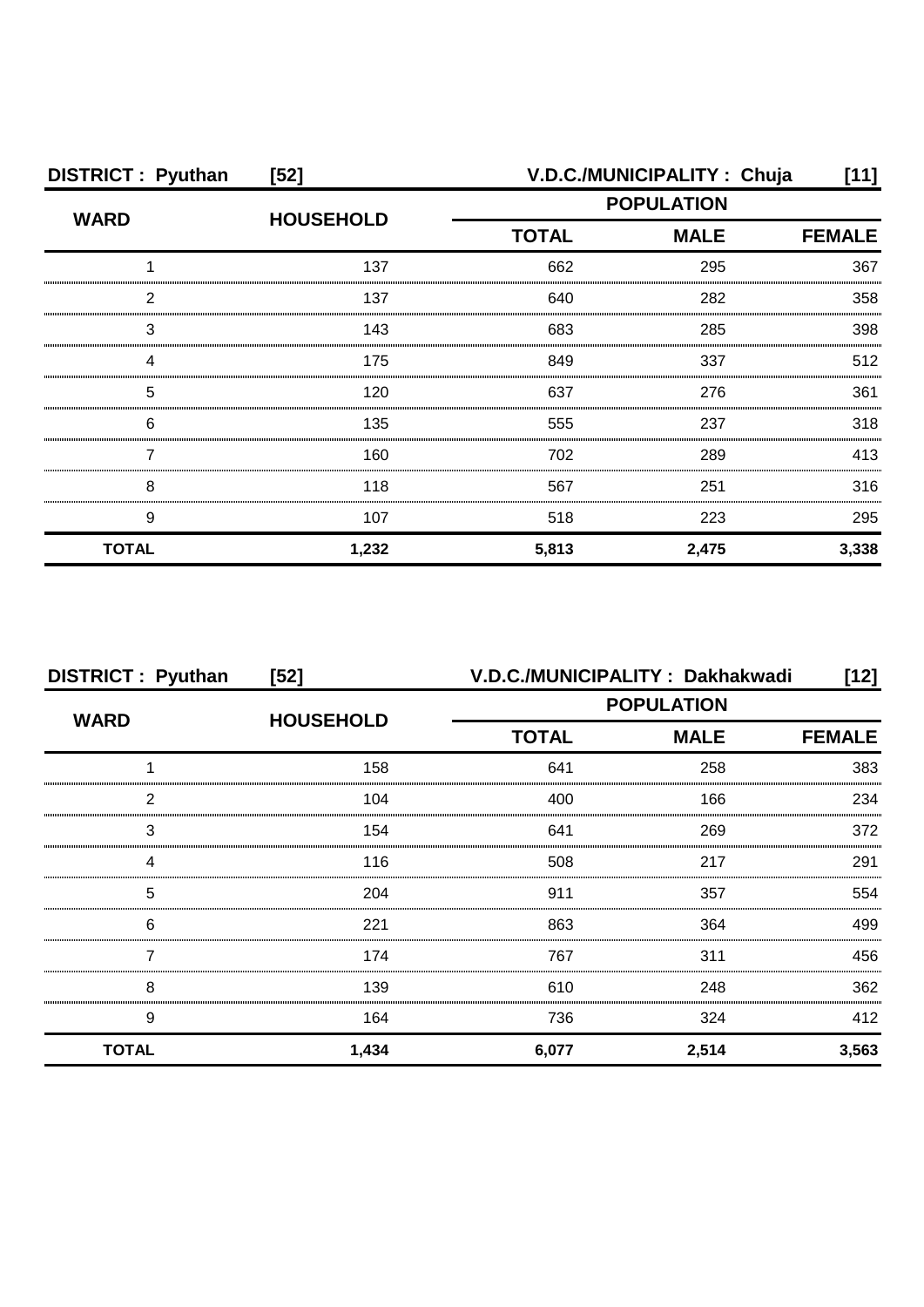| <b>DISTRICT: Pyuthan</b> | $[52]$           |                   | V.D.C./MUNICIPALITY: Chuja | [11]          |
|--------------------------|------------------|-------------------|----------------------------|---------------|
| <b>WARD</b>              | <b>HOUSEHOLD</b> | <b>POPULATION</b> |                            |               |
|                          |                  | <b>TOTAL</b>      | <b>MALE</b>                | <b>FEMALE</b> |
|                          | 137              | 662               | 295                        | 367           |
| っ                        | 137              | 640               | 282                        | 358           |
| 3                        | 143              | 683               | 285                        | 398           |
|                          | 175              | 849               | 337                        | 512           |
| 5                        | 120              | 637               | 276                        | 361           |
| 6                        | 135              | 555               | 237                        | 318           |
|                          | 160              | 702               | 289                        | 413           |
| 8                        | 118              | 567               | 251                        | 316           |
| 9                        | 107              | 518               | 223                        | 295           |
| <b>TOTAL</b>             | 1,232            | 5,813             | 2,475                      | 3,338         |

| <b>DISTRICT: Pyuthan</b> | $[52]$           | V.D.C./MUNICIPALITY: Dakhakwadi |                              |       |  |
|--------------------------|------------------|---------------------------------|------------------------------|-------|--|
| <b>WARD</b>              | <b>HOUSEHOLD</b> | <b>POPULATION</b>               |                              |       |  |
|                          |                  | <b>TOTAL</b>                    | <b>MALE</b><br><b>FEMALE</b> |       |  |
|                          | 158              | 641                             | 258                          | 383   |  |
| 2                        | 104              | 400                             | 166                          | 234   |  |
| 3                        | 154              | 641                             | 269                          | 372   |  |
|                          | 116              | 508                             | 217                          | 291   |  |
| 5                        | 204              | 911                             | 357                          | 554   |  |
| 6                        | 221              | 863                             | 364                          | 499   |  |
|                          | 174              | 767                             | 311                          | 456   |  |
| 8                        | 139              | 610                             | 248                          | 362   |  |
| 9                        | 164              | 736                             | 324                          | 412   |  |
| <b>TOTAL</b>             | 1,434            | 6,077                           | 2,514                        | 3,563 |  |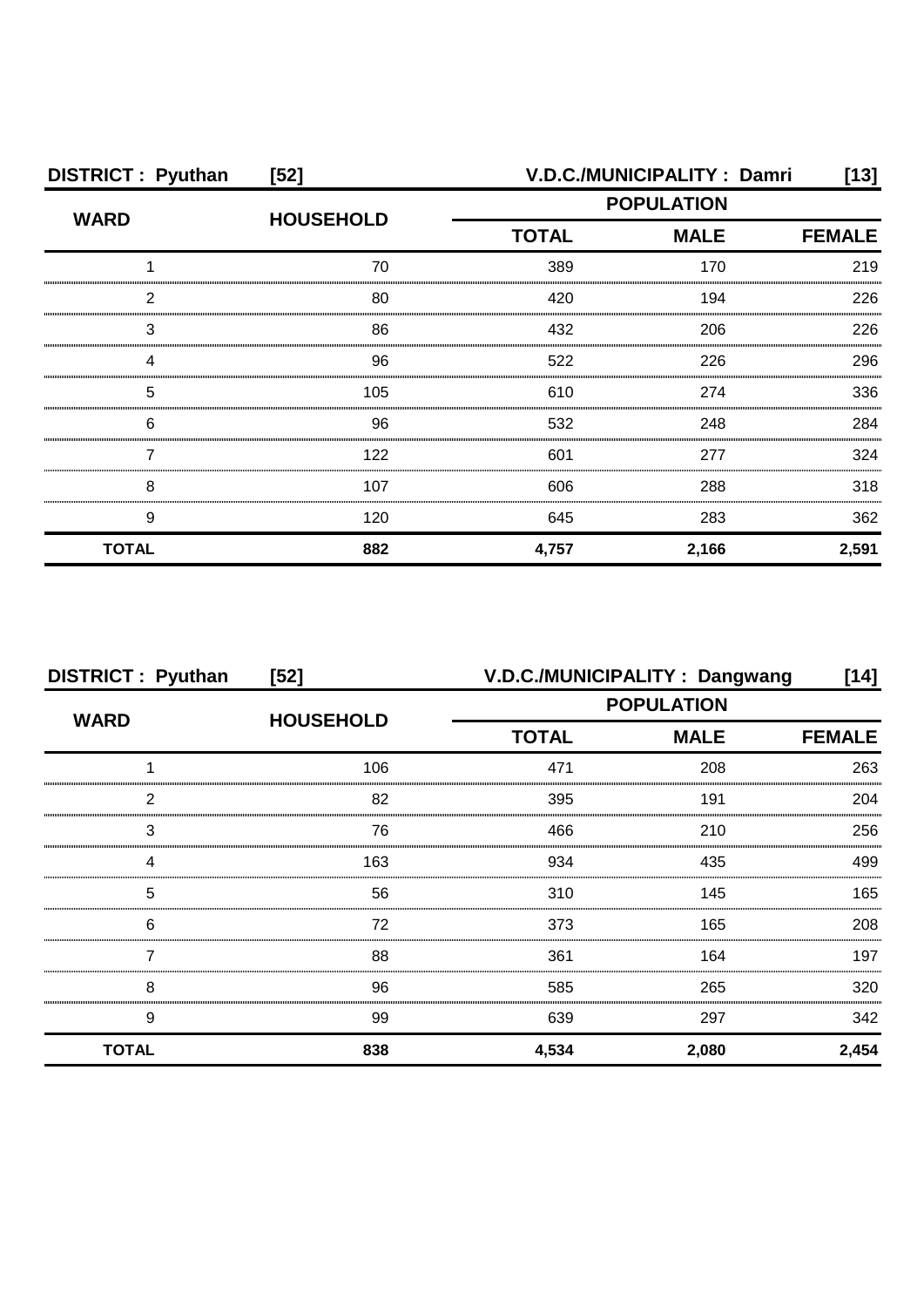| <b>DISTRICT: Pyuthan</b> | $[52]$           |                   | V.D.C./MUNICIPALITY: Damri | [13]          |
|--------------------------|------------------|-------------------|----------------------------|---------------|
| <b>WARD</b>              |                  | <b>POPULATION</b> |                            |               |
|                          | <b>HOUSEHOLD</b> | <b>TOTAL</b>      | <b>MALE</b>                | <b>FEMALE</b> |
|                          | 70               | 389               | 170                        | 219           |
| 2                        | 80               | 420               | 194                        | 226           |
| 3                        | 86               | 432               | 206                        | 226           |
|                          | 96               | 522               | 226                        | 296           |
| 5                        | 105              | 610               | 274                        | 336           |
| 6                        | 96               | 532               | 248                        | 284           |
|                          | 122              | 601               | 277                        | 324           |
| 8                        | 107              | 606               | 288                        | 318           |
| 9                        | 120              | 645               | 283                        | 362           |
| <b>TOTAL</b>             | 882              | 4,757             | 2,166                      | 2,591         |

| <b>DISTRICT: Pyuthan</b> | $[52]$           |                   | V.D.C./MUNICIPALITY: Dangwang | [14]          |
|--------------------------|------------------|-------------------|-------------------------------|---------------|
| <b>WARD</b>              |                  | <b>POPULATION</b> |                               |               |
|                          | <b>HOUSEHOLD</b> | <b>TOTAL</b>      | <b>MALE</b>                   | <b>FEMALE</b> |
|                          | 106              | 471               | 208                           | 263           |
| 2                        | 82               | 395               | 191                           | 204           |
| 3                        | 76               | 466               | 210                           | 256           |
| Δ                        | 163              | 934               | 435                           | 499           |
| 5                        | 56               | 310               | 145                           | 165           |
| 6                        | 72               | 373               | 165                           | 208           |
|                          | 88               | 361               | 164                           | 197           |
| 8                        | 96               | 585               | 265                           | 320           |
| 9                        | 99               | 639               | 297                           | 342           |
| <b>TOTAL</b>             | 838              | 4,534             | 2,080                         | 2,454         |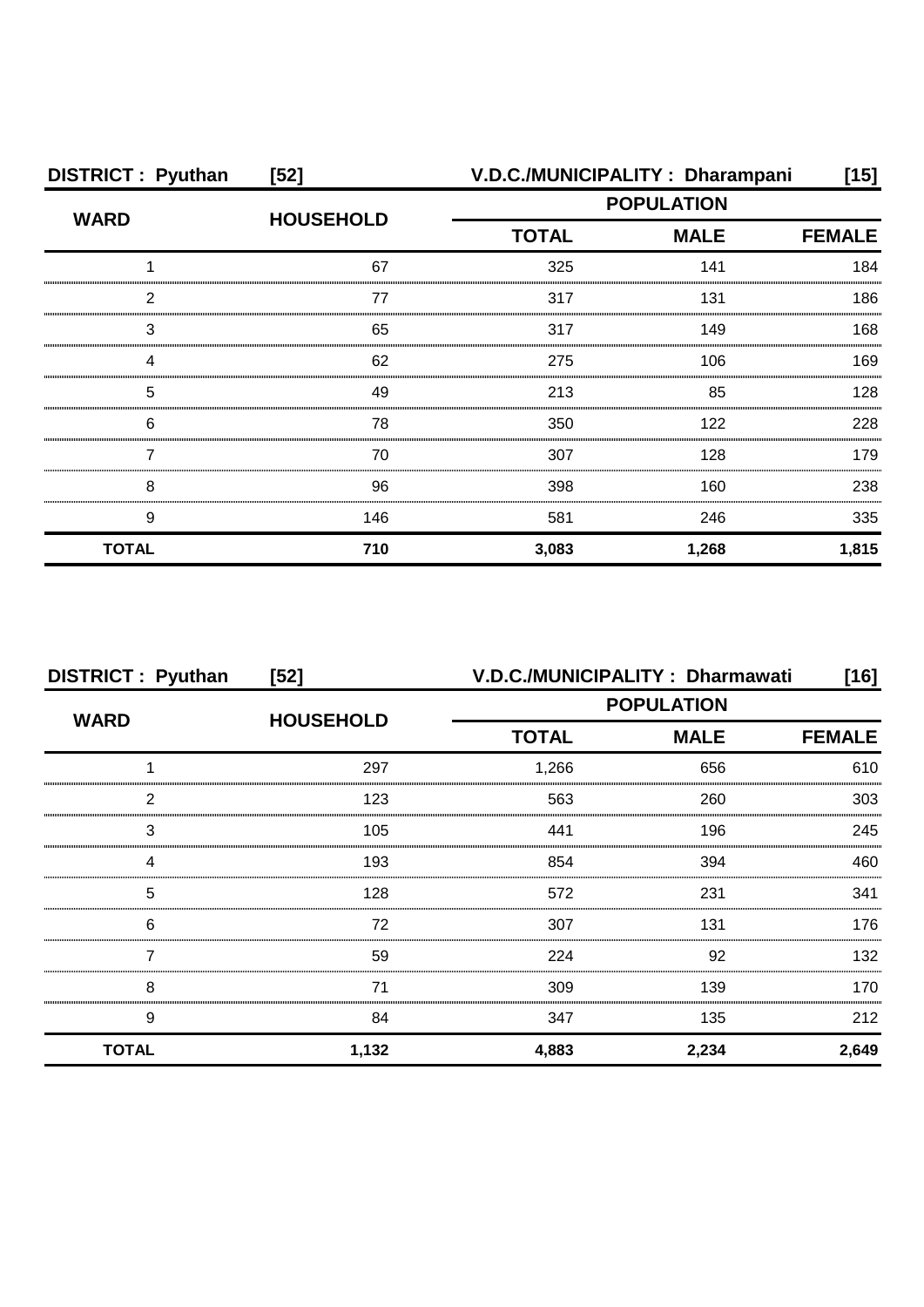| <b>DISTRICT: Pyuthan</b> | $[52]$           | V.D.C./MUNICIPALITY: Dharampani |               | [15]  |
|--------------------------|------------------|---------------------------------|---------------|-------|
| <b>WARD</b>              | <b>HOUSEHOLD</b> | <b>POPULATION</b>               |               |       |
|                          |                  | <b>TOTAL</b><br><b>MALE</b>     | <b>FEMALE</b> |       |
|                          | 67               | 325                             | 141           | 184   |
| っ                        | 77               | 317                             | 131           | 186   |
| З                        | 65               | 317                             | 149           | 168   |
|                          | 62               | 275                             | 106           | 169   |
| 5                        | 49               | 213                             | 85            | 128   |
| 6                        | 78               | 350                             | 122           | 228   |
|                          | 70               | 307                             | 128           | 179   |
| 8                        | 96               | 398                             | 160           | 238   |
| 9                        | 146              | 581                             | 246           | 335   |
| <b>TOTAL</b>             | 710              | 3,083                           | 1,268         | 1,815 |

| <b>DISTRICT: Pyuthan</b> | $[52]$           | V.D.C./MUNICIPALITY: Dharmawati |                   | [16]          |
|--------------------------|------------------|---------------------------------|-------------------|---------------|
| <b>WARD</b>              |                  |                                 | <b>POPULATION</b> |               |
|                          | <b>HOUSEHOLD</b> | <b>TOTAL</b>                    | <b>MALE</b>       | <b>FEMALE</b> |
|                          | 297              | 1,266                           | 656               | 610           |
| っ                        | 123              | 563                             | 260               | 303           |
| 3                        | 105              | 441                             | 196               | 245           |
|                          | 193              | 854                             | 394               | 460           |
| 5                        | 128              | 572                             | 231               | 341           |
| 6                        | 72               | 307                             | 131               | 176           |
|                          | 59               | 224                             | 92                | 132           |
| 8                        | 71               | 309                             | 139               | 170           |
| 9                        | 84               | 347                             | 135               | 212           |
| <b>TOTAL</b>             | 1,132            | 4,883                           | 2,234             | 2,649         |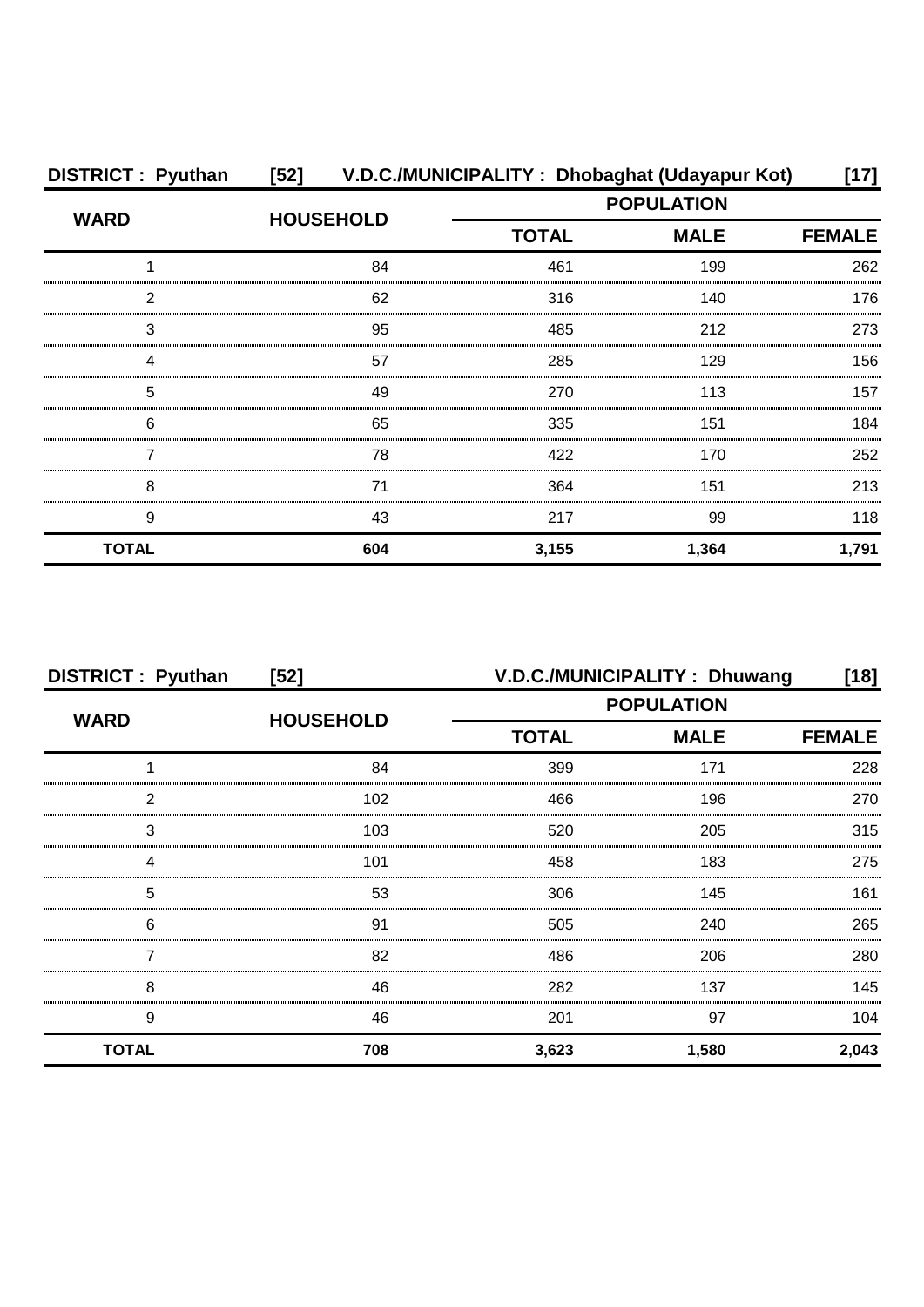| <b>DISTRICT: Pyuthan</b> |                  | [52] V.D.C./MUNICIPALITY: Dhobaghat (Udayapur Kot)<br>[17] |                   |               |  |
|--------------------------|------------------|------------------------------------------------------------|-------------------|---------------|--|
| <b>WARD</b>              |                  |                                                            | <b>POPULATION</b> |               |  |
|                          | <b>HOUSEHOLD</b> | <b>TOTAL</b>                                               | <b>MALE</b>       | <b>FEMALE</b> |  |
|                          | 84               | 461                                                        | 199               | 262           |  |
| 2                        | 62               | 316                                                        | 140               | 176           |  |
| 3                        | 95               | 485                                                        | 212               | 273           |  |
| Δ                        | 57               | 285                                                        | 129               | 156           |  |
| 5                        | 49               | 270                                                        | 113               | 157           |  |
| 6                        | 65               | 335                                                        | 151               | 184           |  |
|                          | 78               | 422                                                        | 170               | 252           |  |
| 8                        | 71               | 364                                                        | 151               | 213           |  |
| 9                        | 43               | 217                                                        | 99                | 118           |  |
| <b>TOTAL</b>             | 604              | 3,155                                                      | 1,364             | 1,791         |  |

| <b>DISTRICT: Pyuthan</b> | $[52]$           | V.D.C./MUNICIPALITY: Dhuwang<br>[18] |             |               |
|--------------------------|------------------|--------------------------------------|-------------|---------------|
| <b>WARD</b>              |                  | <b>POPULATION</b>                    |             |               |
|                          | <b>HOUSEHOLD</b> | <b>TOTAL</b>                         | <b>MALE</b> | <b>FEMALE</b> |
|                          | 84               | 399                                  | 171         | 228           |
| 2                        | 102              | 466                                  | 196         | 270           |
| 3                        | 103              | 520                                  | 205         | 315           |
| Δ                        | 101              | 458                                  | 183         | 275           |
| 5                        | 53               | 306                                  | 145         | 161           |
| 6                        | .91              | 505                                  | 240         | 265           |
|                          | 82               | 486                                  | 206         | 280           |
| 8                        | 46               | 282                                  | 137         | 145           |
| 9                        | 46               | 201                                  | 97          | 104           |
| <b>TOTAL</b>             | 708              | 3,623                                | 1,580       | 2,043         |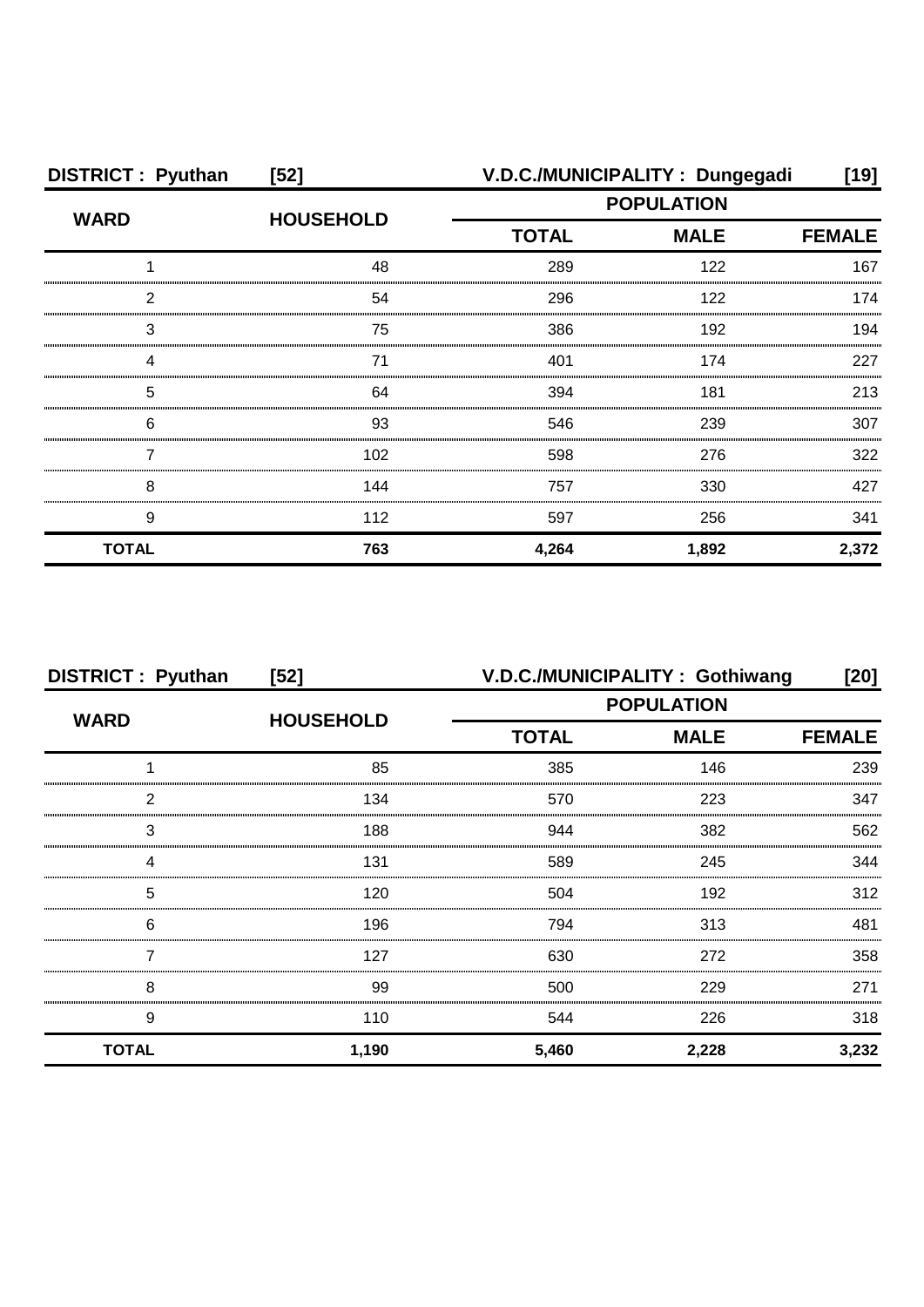| <b>DISTRICT: Pyuthan</b> | $[52]$           |                             | V.D.C./MUNICIPALITY: Dungegadi | [19]  |
|--------------------------|------------------|-----------------------------|--------------------------------|-------|
| <b>WARD</b>              | <b>HOUSEHOLD</b> | <b>POPULATION</b>           |                                |       |
|                          |                  | <b>TOTAL</b><br><b>MALE</b> | <b>FEMALE</b>                  |       |
|                          | 48               | 289                         | 122                            | 167   |
| ົ                        | 54               | 296                         | 122                            | 174   |
| 3                        | 75               | 386                         | 192                            | 194   |
|                          | 71               | 401                         | 174                            | 227   |
| 5                        | 64               | 394                         | 181                            | 213   |
| 6                        | 93               | 546                         | 239                            | 307   |
|                          | 102              | 598                         | 276                            | 322   |
| 8                        | 144              | 757                         | 330                            | 427   |
| 9                        | 112              | 597                         | 256                            | 341   |
| <b>TOTAL</b>             | 763              | 4,264                       | 1,892                          | 2,372 |

| <b>DISTRICT: Pyuthan</b> | $[52]$           | V.D.C./MUNICIPALITY: Gothiwang |             | [20]          |
|--------------------------|------------------|--------------------------------|-------------|---------------|
|                          |                  | <b>POPULATION</b>              |             |               |
| <b>WARD</b>              | <b>HOUSEHOLD</b> | <b>TOTAL</b>                   | <b>MALE</b> | <b>FEMALE</b> |
|                          | 85               | 385                            | 146         | 239           |
| 2                        | 134              | 570                            | 223         | 347           |
| 3                        | 188              | 944                            | 382         | 562           |
| Δ                        | 131              | 589                            | 245         | 344           |
| 5                        | 120              | 504                            | 192         | 312           |
| 6                        | 196              | 794                            | 313         | 481           |
|                          | 127              | 630                            | 272         | 358           |
| 8                        | 99               | 500                            | 229         | 271           |
| 9                        | 110              | 544                            | 226         | 318           |
| <b>TOTAL</b>             | 1,190            | 5,460                          | 2,228       | 3,232         |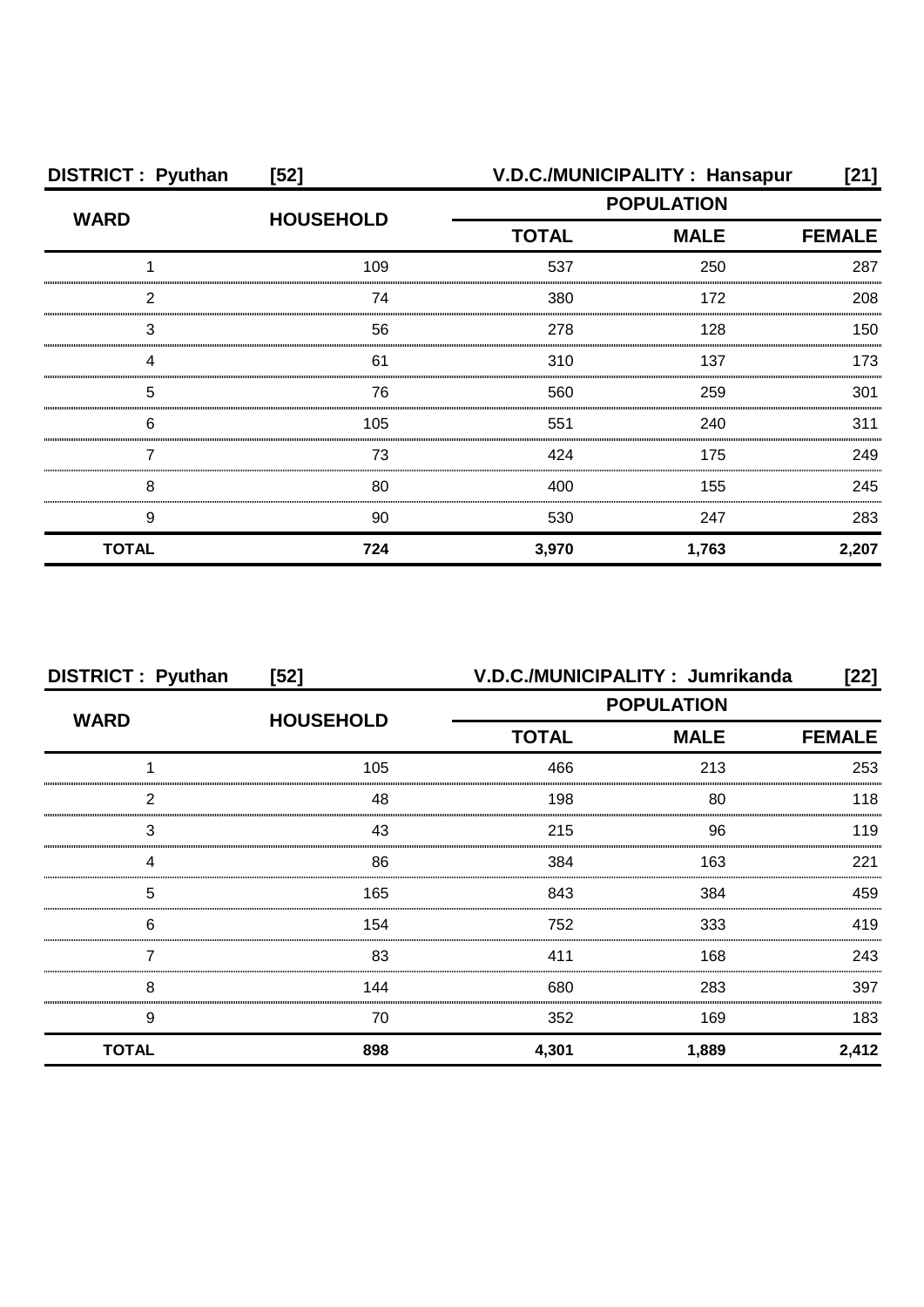| <b>DISTRICT: Pyuthan</b> | $[52]$           | V.D.C./MUNICIPALITY: Hansapur<br>[21] |                   |               |
|--------------------------|------------------|---------------------------------------|-------------------|---------------|
|                          |                  |                                       | <b>POPULATION</b> |               |
| <b>WARD</b>              | <b>HOUSEHOLD</b> | <b>TOTAL</b>                          | <b>MALE</b>       | <b>FEMALE</b> |
|                          | 109              | 537                                   | 250               | 287           |
| 2                        | 74               | 380                                   | 172               | 208           |
| 3                        | 56               | 278                                   | 128               | 150           |
|                          | 61               | 310                                   | 137               | 173           |
| 5                        | 76               | 560                                   | 259               | 301           |
| 6                        | 105              | 551                                   | 240               | 311           |
|                          | 73               | 424                                   | 175               | 249           |
| 8                        | 80               | 400                                   | 155               | 245           |
| 9                        | 90               | 530                                   | 247               | 283           |
| <b>TOTAL</b>             | 724              | 3,970                                 | 1,763             | 2,207         |

| <b>DISTRICT: Pyuthan</b> | $[52]$           | V.D.C./MUNICIPALITY: Jumrikanda |                   | [22]  |
|--------------------------|------------------|---------------------------------|-------------------|-------|
| <b>WARD</b>              | <b>HOUSEHOLD</b> |                                 | <b>POPULATION</b> |       |
|                          |                  | <b>TOTAL</b>                    | <b>MALE</b>       |       |
|                          | 105              | 466                             | 213               | 253   |
| 2                        | 48               | 198                             | 80                | 118   |
| 3                        | 43               | 215                             | 96                | 119   |
|                          | 86               | 384                             | 163               | 221   |
| 5                        | 165              | 843                             | 384               | 459   |
| 6                        | 154              | 752                             | 333               | 419   |
|                          | 83               | 411                             | 168               | 243   |
| 8                        | 144              | 680                             | 283               | 397   |
| 9                        | 70               | 352                             | 169               | 183   |
| <b>TOTAL</b>             | 898              | 4,301                           | 1,889             | 2,412 |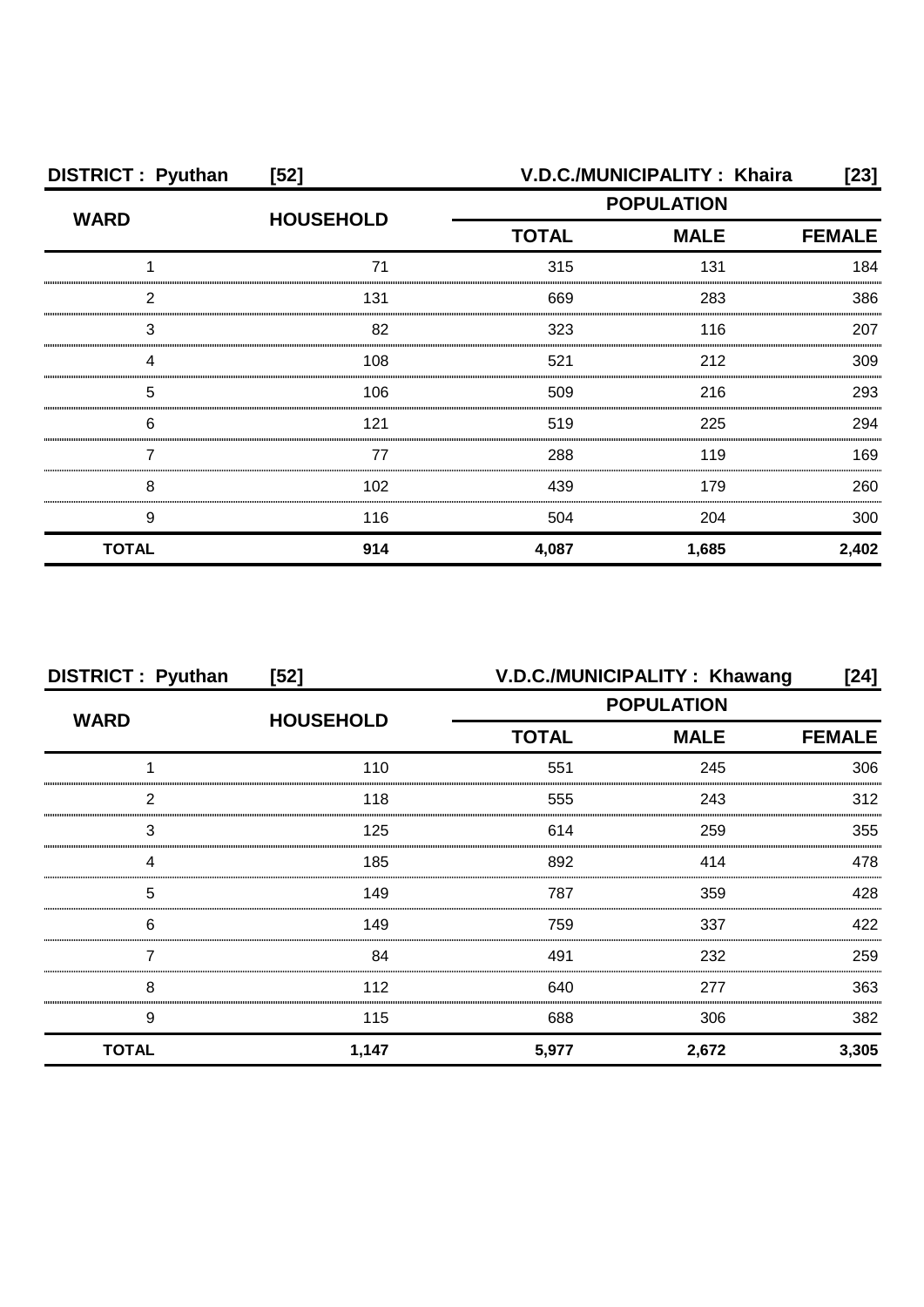| <b>DISTRICT: Pyuthan</b> | $[52]$           | V.D.C./MUNICIPALITY: Khaira<br>[23] |                   |       |
|--------------------------|------------------|-------------------------------------|-------------------|-------|
| <b>WARD</b>              | <b>HOUSEHOLD</b> |                                     | <b>POPULATION</b> |       |
|                          |                  | <b>TOTAL</b><br><b>MALE</b>         | <b>FEMALE</b>     |       |
|                          | 71               | 315                                 | 131               | 184   |
| 2                        | 131              | 669                                 | 283               | 386   |
| 3                        | 82               | 323                                 | 116               | 207   |
|                          | 108              | 521                                 | 212               | 309   |
| 5                        | 106              | 509                                 | 216               | 293   |
| 6                        | 121              | 519                                 | 225               | 294   |
|                          | 77               | 288                                 | 119               | 169   |
| 8                        | 102              | 439                                 | 179               | 260   |
| 9                        | 116              | 504                                 | 204               | 300   |
| <b>TOTAL</b>             | 914              | 4,087                               | 1,685             | 2,402 |

| <b>DISTRICT: Pyuthan</b> | $[52]$           | V.D.C./MUNICIPALITY: Khawang<br>[24] |             |               |
|--------------------------|------------------|--------------------------------------|-------------|---------------|
| <b>WARD</b>              | <b>HOUSEHOLD</b> | <b>POPULATION</b>                    |             |               |
|                          |                  | <b>TOTAL</b>                         | <b>MALE</b> | <b>FEMALE</b> |
|                          | 110              | 551                                  | 245         | 306           |
| っ                        | 118              | 555                                  | 243         | 312           |
| 3                        | 125              | 614                                  | 259         | 355           |
|                          | 185              | 892                                  | 414         | 478           |
| 5                        | 149              | 787                                  | 359         | 428           |
| 6                        | 149              | 759                                  | 337         | 422           |
|                          | 84               | 491                                  | 232         | 259           |
| 8                        | 112              | 640                                  | 277         | 363           |
| 9                        | 115              | 688                                  | 306         | 382           |
| <b>TOTAL</b>             | 1,147            | 5,977                                | 2,672       | 3,305         |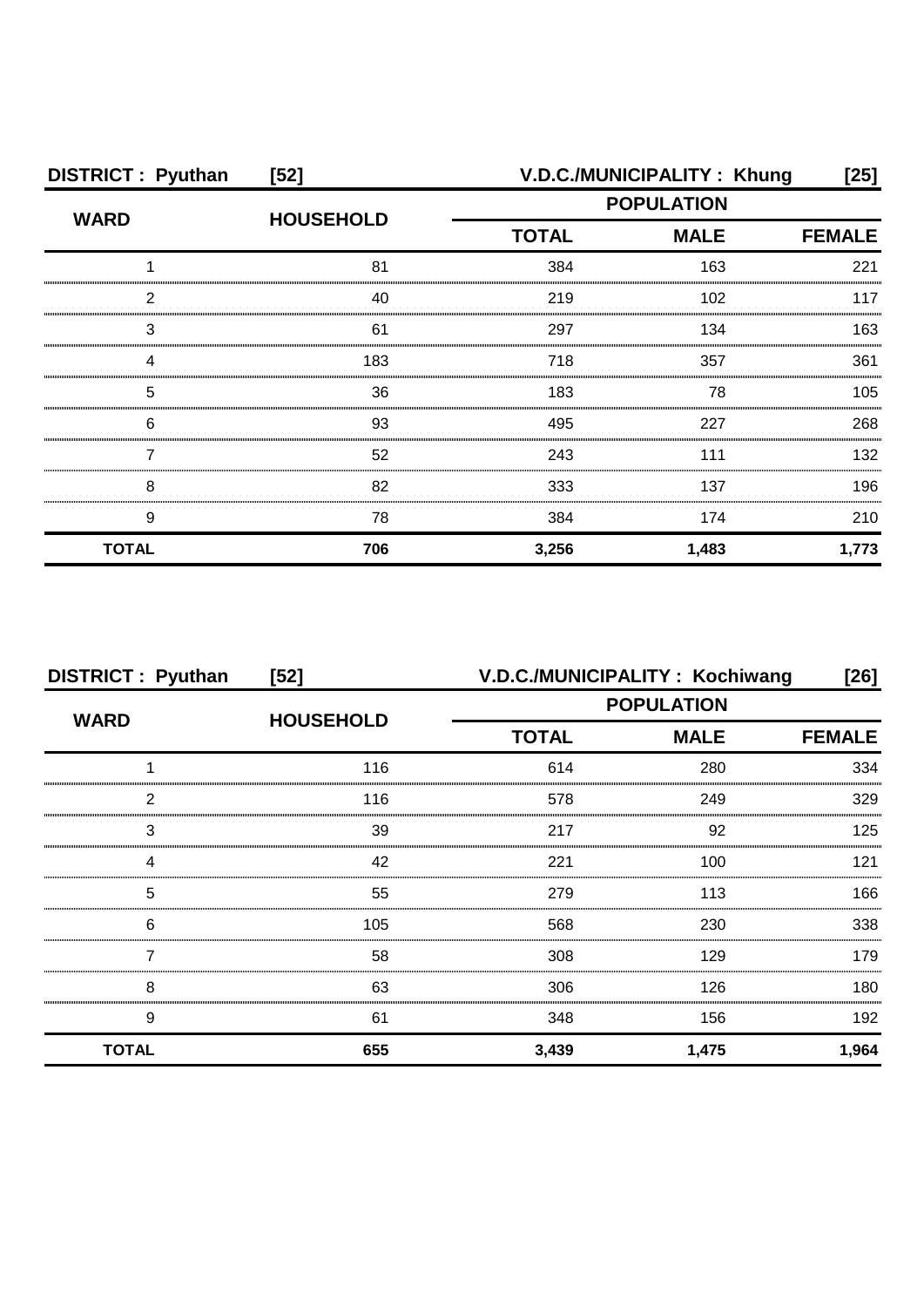| <b>DISTRICT: Pyuthan</b> | $[52]$           | V.D.C./MUNICIPALITY: Khung<br>[25] |             |               |
|--------------------------|------------------|------------------------------------|-------------|---------------|
| <b>WARD</b>              |                  | <b>POPULATION</b>                  |             |               |
|                          | <b>HOUSEHOLD</b> | <b>TOTAL</b>                       | <b>MALE</b> | <b>FEMALE</b> |
|                          | 81               | 384                                | 163         | 221           |
| າ                        | 40               | 219                                | 102         | 117           |
| 3                        | 61               | 297                                | 134         | 163           |
|                          | 183              | 718                                | 357         | 361           |
| 5                        | 36               | 183                                | 78          | 105           |
| 6                        | 93               | 495                                | 227         | 268           |
|                          | 52               | 243                                | 111         | 132           |
| 8                        | 82               | 333                                | 137         | 196           |
| 9                        | 78               | 384                                | 174         | 210           |
| <b>TOTAL</b>             | 706              | 3,256                              | 1,483       | 1,773         |

| <b>DISTRICT: Pyuthan</b> | $[52]$           | V.D.C./MUNICIPALITY: Kochiwang |             | $[26]$        |
|--------------------------|------------------|--------------------------------|-------------|---------------|
| <b>WARD</b>              |                  | <b>POPULATION</b>              |             |               |
|                          | <b>HOUSEHOLD</b> | <b>TOTAL</b>                   | <b>MALE</b> | <b>FEMALE</b> |
|                          | 116              | 614                            | 280         | 334           |
| 2                        | 116              | 578                            | 249         | 329           |
| 3                        | 39               | 217                            | 92          | 125           |
|                          | 42               | 221                            | 100         | 121           |
| 5                        | 55               | 279                            | 113         | 166           |
| 6                        | 105              | 568                            | 230         | 338           |
|                          | 58               | 308                            | 129         | 179           |
| 8                        | 63               | 306                            | 126         | 180           |
| 9                        | 61               | 348                            | 156         | 192           |
| <b>TOTAL</b>             | 655              | 3,439                          | 1,475       | 1,964         |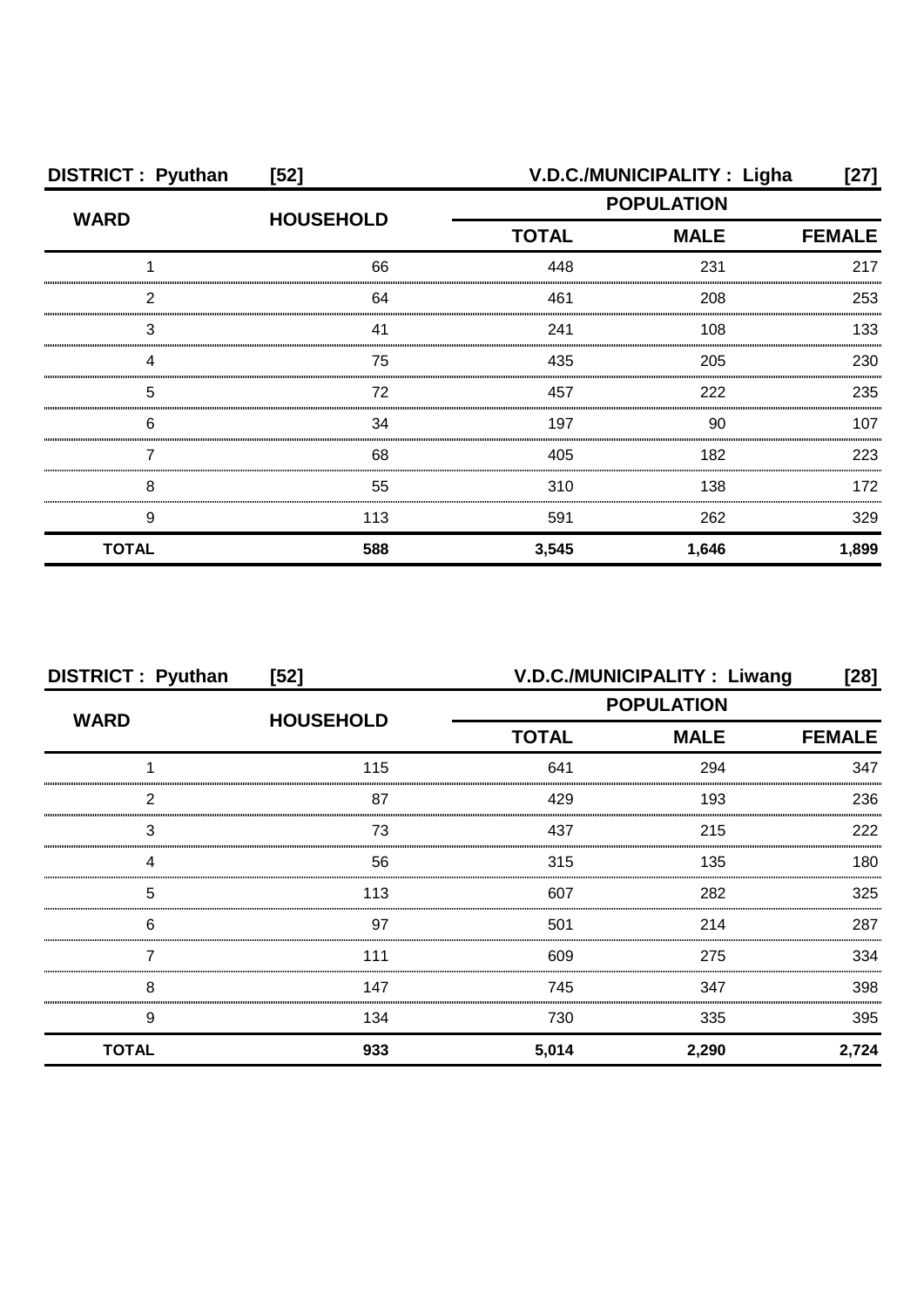| <b>DISTRICT: Pyuthan</b> | $[52]$           |                   | V.D.C./MUNICIPALITY: Ligha | $[27]$        |
|--------------------------|------------------|-------------------|----------------------------|---------------|
| <b>WARD</b>              |                  | <b>POPULATION</b> |                            |               |
|                          | <b>HOUSEHOLD</b> | <b>TOTAL</b>      | <b>MALE</b>                | <b>FEMALE</b> |
|                          | 66               | 448               | 231                        | 217           |
| ົ                        | 64               | 461               | 208                        | 253           |
| 3                        | 41               | 241               | 108                        | 133           |
|                          | 75               | 435               | 205                        | 230           |
| 5                        | 72               | 457               | 222                        | 235           |
| 6                        | 34               | 197               | 90                         | 107           |
|                          | 68               | 405               | 182                        | 223           |
| 8                        | 55               | 310               | 138                        | 172           |
| 9                        | 113              | 591               | 262                        | 329           |
| <b>TOTAL</b>             | 588              | 3,545             | 1,646                      | 1,899         |

| <b>DISTRICT: Pyuthan</b> | $[52]$           | V.D.C./MUNICIPALITY : Liwang<br>[28] |             |               |
|--------------------------|------------------|--------------------------------------|-------------|---------------|
|                          |                  | <b>POPULATION</b>                    |             |               |
| <b>WARD</b>              | <b>HOUSEHOLD</b> | <b>TOTAL</b>                         | <b>MALE</b> | <b>FEMALE</b> |
|                          | 115              | 641                                  | 294         | 347           |
| 2                        | 87               | 429                                  | 193         | 236           |
| 3                        | 73               | 437                                  | 215         | 222           |
| Δ                        | 56               | 315                                  | 135         | 180           |
| 5                        | 113              | 607                                  | 282         | 325           |
| 6                        | 97               | 501                                  | 214         | 287           |
|                          | 111              | 609                                  | 275         | 334           |
| 8                        | 147              | 745                                  | 347         | 398           |
| 9                        | 134              | 730                                  | 335         | 395           |
| <b>TOTAL</b>             | 933              | 5,014                                | 2,290       | 2,724         |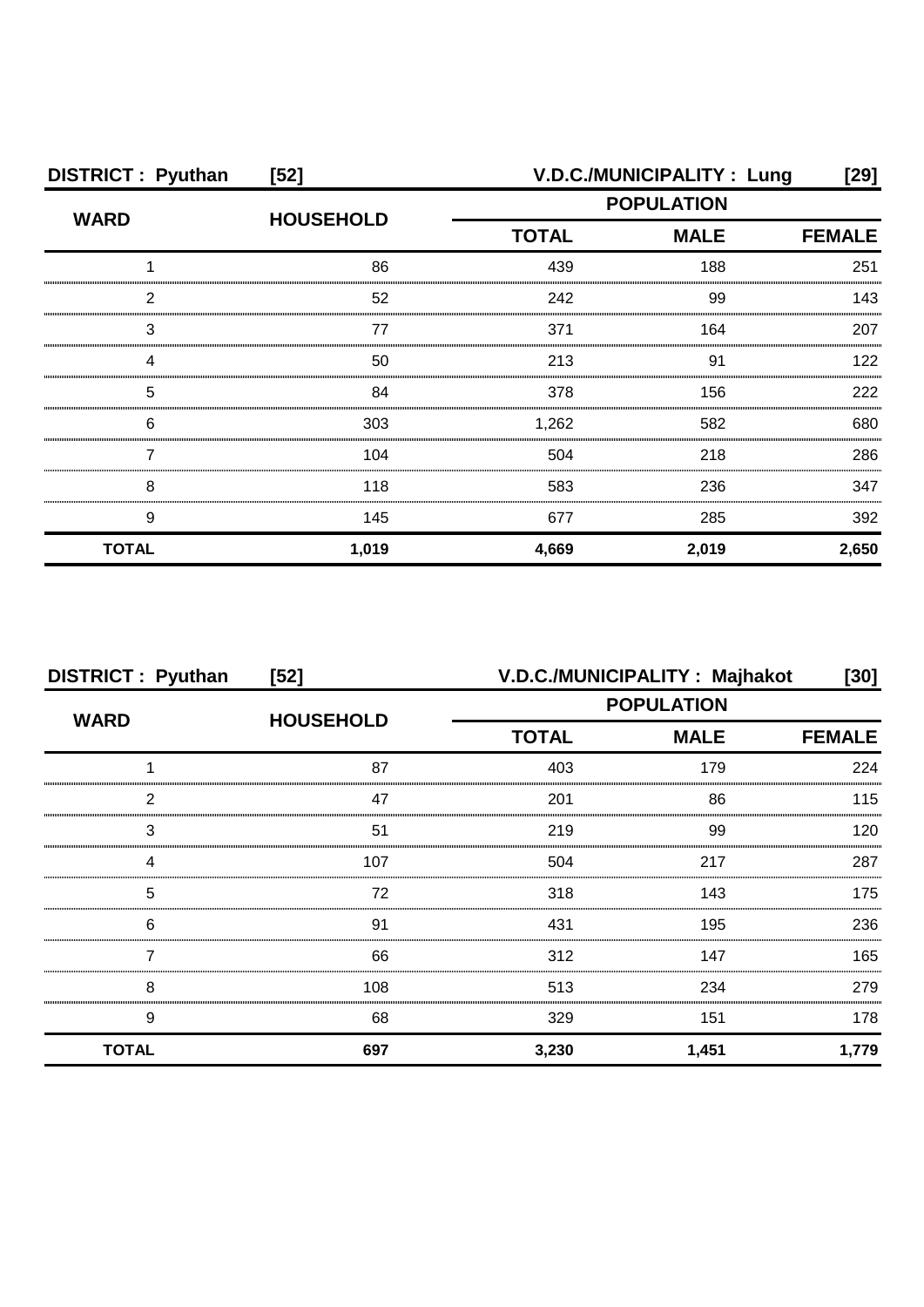| <b>DISTRICT: Pyuthan</b> | $[52]$           |                   | V.D.C./MUNICIPALITY: Lung | [29]          |
|--------------------------|------------------|-------------------|---------------------------|---------------|
| <b>WARD</b>              | <b>HOUSEHOLD</b> | <b>POPULATION</b> |                           |               |
|                          |                  | <b>TOTAL</b>      | <b>MALE</b>               | <b>FEMALE</b> |
|                          | 86               | 439               | 188                       | 251           |
| າ                        | 52               | 242               | 99                        | 143           |
| 3                        | 77               | 371               | 164                       | 207           |
|                          | 50               | 213               | .91                       | 122           |
| 5                        | 84               | 378               | 156                       | 222           |
| 6                        | 303              | 1,262             | 582                       | 680           |
|                          | 104              | 504               | 218                       | 286           |
| 8                        | 118              | 583               | 236                       | 347           |
| 9                        | 145              | 677               | 285                       | 392           |
| <b>TOTAL</b>             | 1,019            | 4,669             | 2,019                     | 2,650         |

| <b>DISTRICT: Pyuthan</b> | $[52]$           | V.D.C./MUNICIPALITY: Majhakot<br>[30] |             |               |
|--------------------------|------------------|---------------------------------------|-------------|---------------|
| <b>WARD</b>              |                  | <b>POPULATION</b>                     |             |               |
|                          | <b>HOUSEHOLD</b> | <b>TOTAL</b>                          | <b>MALE</b> | <b>FEMALE</b> |
|                          | 87               | 403                                   | 179         | 224           |
| 2                        | 47               | 201                                   | 86          | 115           |
| 3                        | 51               | 219                                   | 99          | 120           |
| 4                        | 107              | 504                                   | 217         | 287           |
| 5                        | 72               | 318                                   | 143         | 175           |
| 6                        | .91              | 431                                   | 195         | 236           |
|                          | 66               | 312                                   | 147         | 165           |
| 8                        | 108              | 513                                   | 234         | 279           |
| 9                        | 68               | 329                                   | 151         | 178           |
| <b>TOTAL</b>             | 697              | 3,230                                 | 1,451       | 1,779         |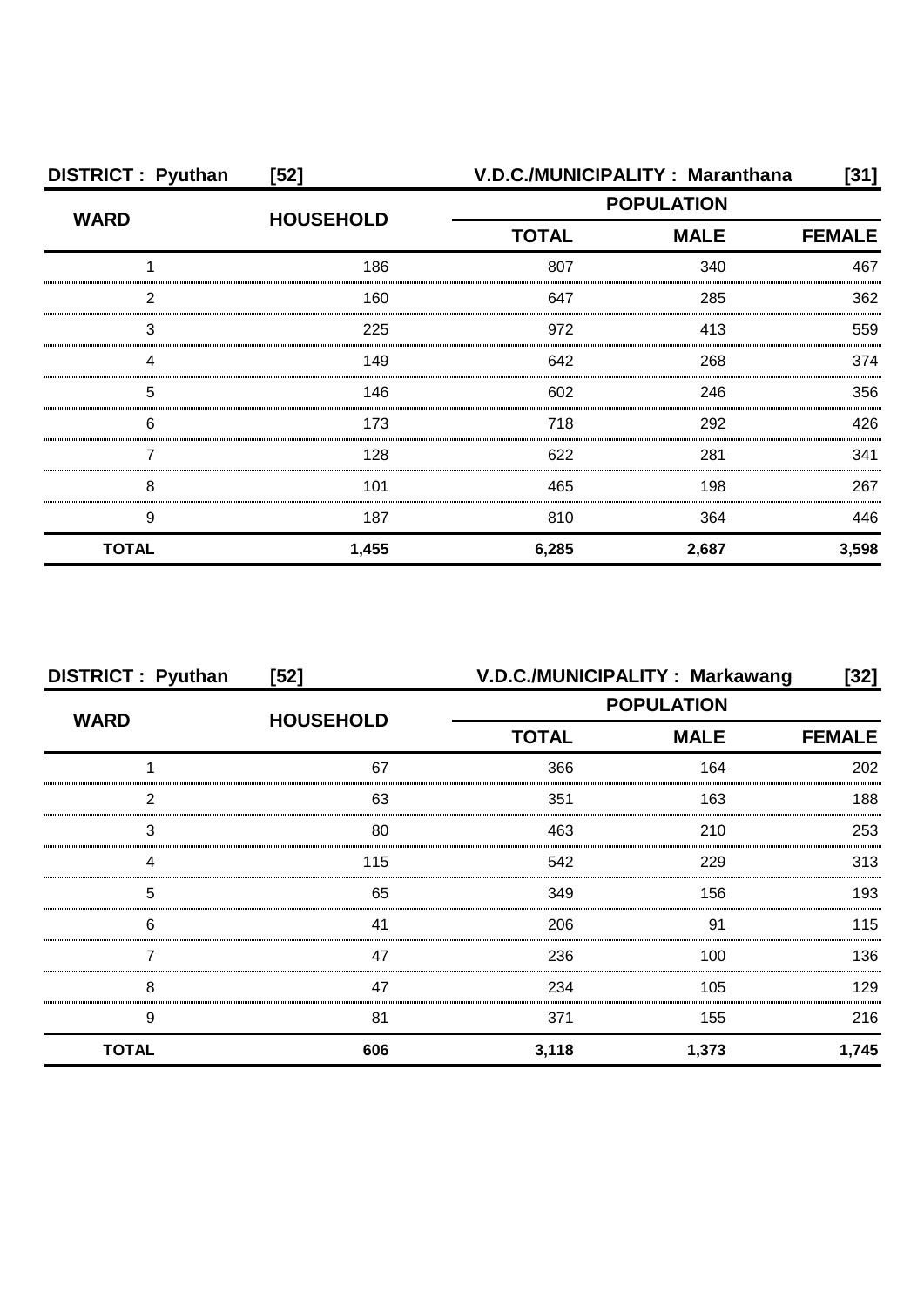| <b>DISTRICT: Pyuthan</b> | $[52]$           |              | V.D.C./MUNICIPALITY: Maranthana | [31]          |
|--------------------------|------------------|--------------|---------------------------------|---------------|
| <b>WARD</b>              |                  |              | <b>POPULATION</b>               |               |
|                          | <b>HOUSEHOLD</b> | <b>TOTAL</b> | <b>MALE</b>                     | <b>FEMALE</b> |
|                          | 186              | 807          | 340                             | 467           |
| っ                        | 160              | 647          | 285                             | 362           |
| 3                        | 225              | 972          | 413                             | 559           |
|                          | 149              | 642          | 268                             | 374           |
| 5                        | 146              | 602          | 246                             | 356           |
| 6                        | 173              | 718          | 292                             | 426           |
|                          | 128              | 622          | 281                             | 341           |
| 8                        | 101              | 465          | 198                             | 267           |
| 9                        | 187              | 810          | 364                             | 446           |
| <b>TOTAL</b>             | 1,455            | 6,285        | 2,687                           | 3,598         |

| <b>DISTRICT: Pyuthan</b> | $[52]$           |                   | V.D.C./MUNICIPALITY: Markawang | [32]          |
|--------------------------|------------------|-------------------|--------------------------------|---------------|
|                          |                  | <b>POPULATION</b> |                                |               |
| <b>WARD</b>              | <b>HOUSEHOLD</b> | <b>TOTAL</b>      | <b>MALE</b>                    | <b>FEMALE</b> |
|                          | 67               | 366               | 164                            | 202           |
| 2                        | 63               | 351               | 163                            | 188           |
| 3                        | 80               | 463               | 210                            | 253           |
| 4                        | 115              | 542               | 229                            | 313           |
| 5                        | 65               | 349               | 156                            | 193           |
| 6                        | 41               | 206               | .91                            | 115           |
|                          | 47               | 236               | 100                            | 136           |
| 8                        | 47               | 234               | 105                            | 129           |
| 9                        | 81               | 371               | 155                            | 216           |
| <b>TOTAL</b>             | 606              | 3,118             | 1,373                          | 1,745         |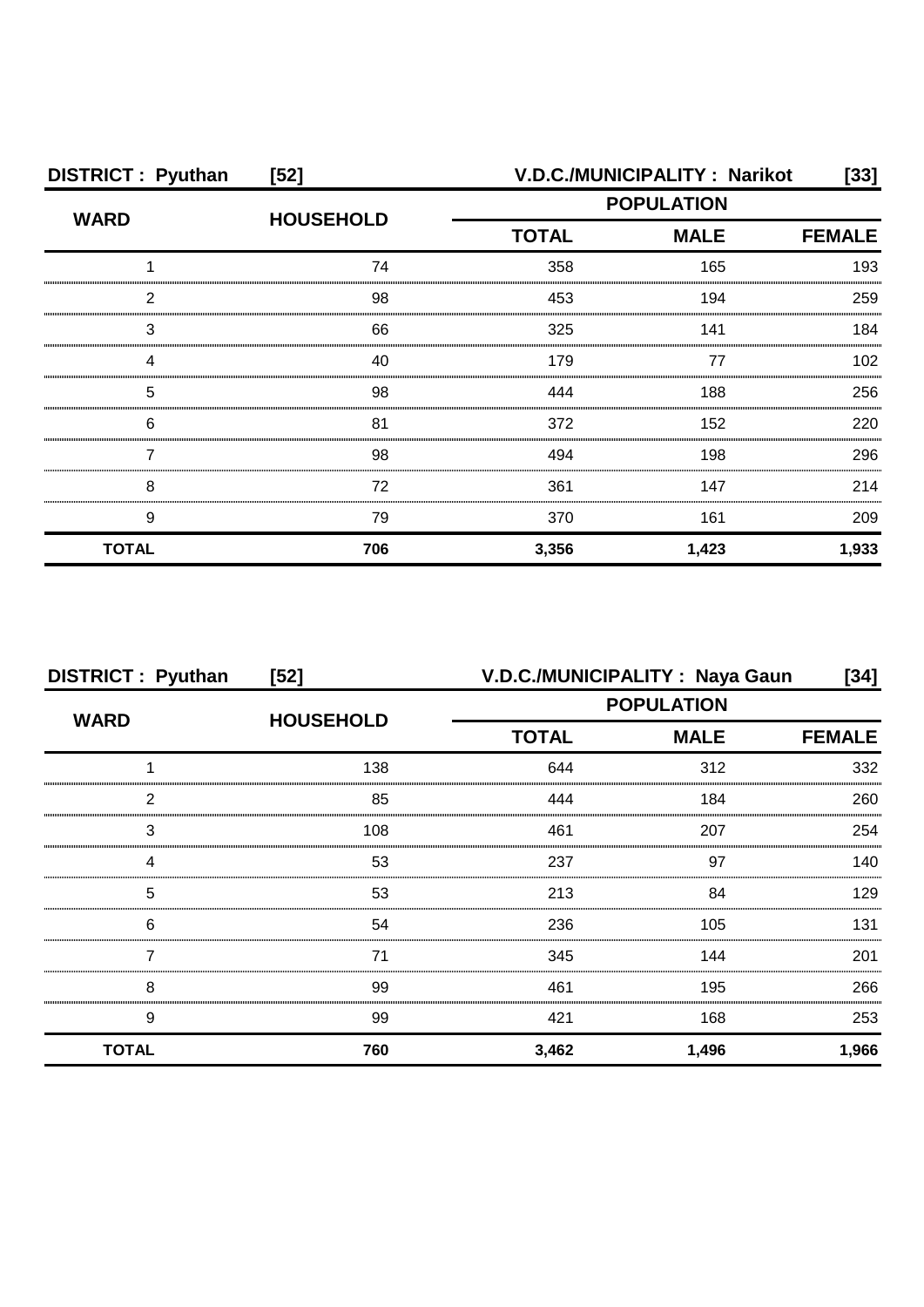| <b>DISTRICT: Pyuthan</b> | $[52]$           | V.D.C./MUNICIPALITY: Narikot<br>[33] |               |       |
|--------------------------|------------------|--------------------------------------|---------------|-------|
| <b>WARD</b>              | <b>HOUSEHOLD</b> | <b>POPULATION</b>                    |               |       |
|                          |                  | <b>TOTAL</b><br><b>MALE</b>          | <b>FEMALE</b> |       |
|                          | 74               | 358                                  | 165           | 193   |
| 2                        | 98               | 453                                  | 194           | 259   |
| З                        | 66               | 325                                  | 141           | 184   |
|                          | 40               | 179                                  | 77            | 102   |
| 5                        | 98               | 444                                  | 188           | 256   |
| 6                        | 81               | 372                                  | 152           | 220   |
|                          | 98               | 494                                  | 198           | 296   |
| 8                        | 72               | 361                                  | 147           | 214   |
| 9                        | 79               | 370                                  | 161           | 209   |
| <b>TOTAL</b>             | 706              | 3,356                                | 1,423         | 1,933 |

| <b>DISTRICT: Pyuthan</b> | $[52]$           |                   | V.D.C./MUNICIPALITY : Naya Gaun | [34]          |
|--------------------------|------------------|-------------------|---------------------------------|---------------|
| <b>WARD</b>              |                  | <b>POPULATION</b> |                                 |               |
|                          | <b>HOUSEHOLD</b> | <b>TOTAL</b>      | <b>MALE</b>                     | <b>FEMALE</b> |
|                          | 138              | 644               | 312                             | 332           |
| 2                        | 85               | 444               | 184                             | 260           |
| 3                        | 108              | 461               | 207                             | 254           |
|                          | 53               | 237               | 97                              | 140           |
| 5                        | 53               | 213               | 84                              | 129           |
| 6                        | 54               | 236               | 105                             | 131           |
|                          | 71               | 345               | 144                             | 201           |
| 8                        | 99               | 461               | 195                             | 266           |
| 9                        | 99               | 421               | 168                             | 253           |
| <b>TOTAL</b>             | 760              | 3,462             | 1,496                           | 1,966         |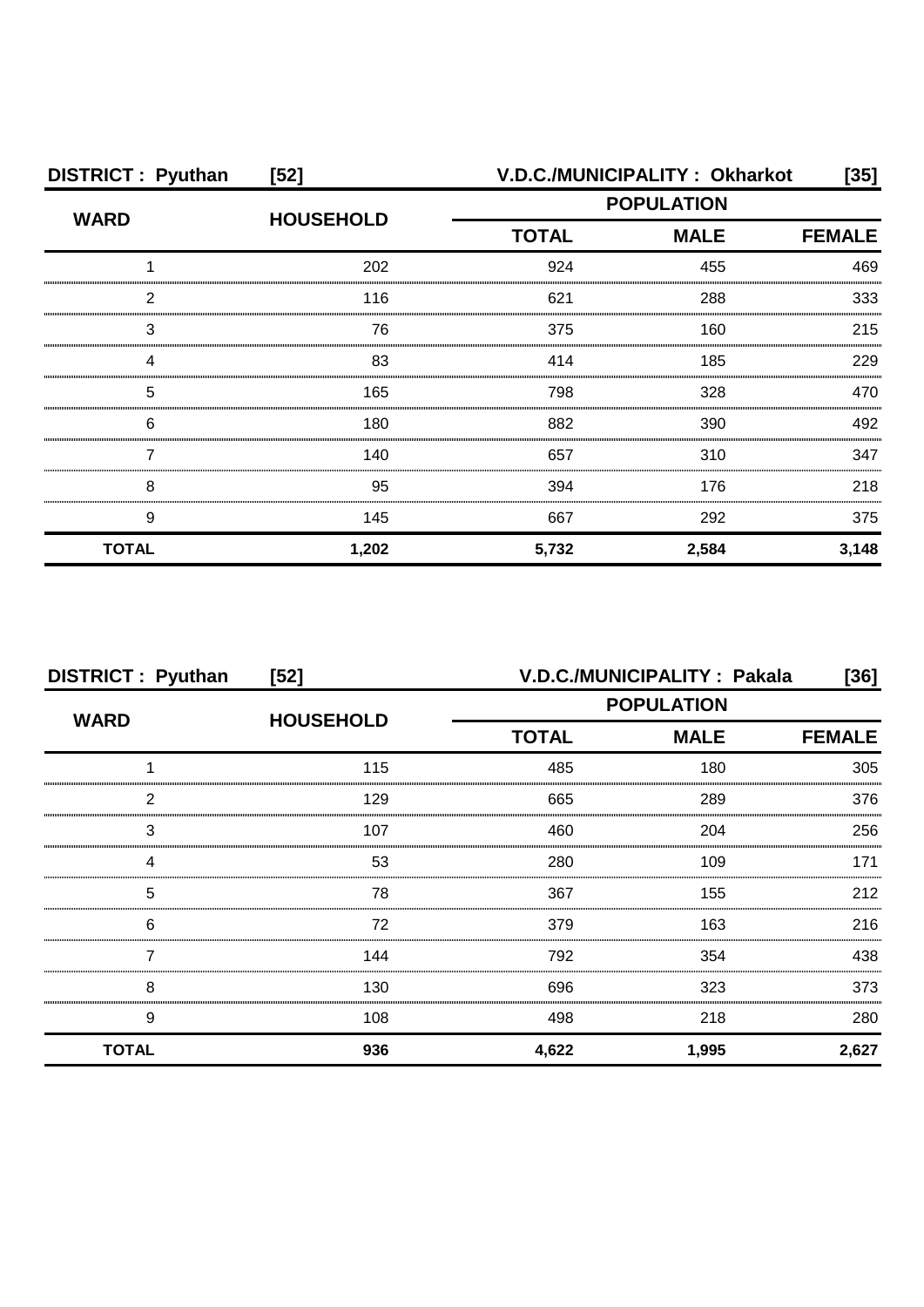| <b>DISTRICT: Pyuthan</b> | $[52]$           |                                                  | V.D.C./MUNICIPALITY: Okharkot | [35]  |
|--------------------------|------------------|--------------------------------------------------|-------------------------------|-------|
| <b>WARD</b>              | <b>HOUSEHOLD</b> | <b>POPULATION</b><br><b>TOTAL</b><br><b>MALE</b> |                               |       |
|                          |                  |                                                  | <b>FEMALE</b>                 |       |
|                          | 202              | 924                                              | 455                           | 469   |
| 2                        | 116              | 621                                              | 288                           | 333   |
| З                        | 76               | 375                                              | 160                           | 215   |
|                          | 83               | 414                                              | 185                           | 229   |
| 5                        | 165              | 798                                              | 328                           | 470   |
| 6                        | 180              | 882                                              | 390                           | 492   |
|                          | 140              | 657                                              | 310                           | 347   |
| 8                        | 95               | 394                                              | 176                           | 218   |
| 9                        | 145              | 667                                              | 292                           | 375   |
| <b>TOTAL</b>             | 1,202            | 5,732                                            | 2,584                         | 3,148 |

| <b>DISTRICT: Pyuthan</b> | $[52]$           | V.D.C./MUNICIPALITY: Pakala<br>[36]          |       |       |  |
|--------------------------|------------------|----------------------------------------------|-------|-------|--|
| <b>WARD</b>              | <b>HOUSEHOLD</b> | <b>POPULATION</b>                            |       |       |  |
|                          |                  | <b>TOTAL</b><br><b>MALE</b><br><b>FEMALE</b> |       |       |  |
|                          | 115              | 485                                          | 180   | 305   |  |
| 2                        | 129              | 665                                          | 289   | 376   |  |
| 3                        | 107              | 460                                          | 204   | 256   |  |
|                          | 53               | 280                                          | 109   | 171   |  |
| 5                        | 78               | 367                                          | 155   | 212   |  |
| 6                        | 72               | 379                                          | 163   | 216   |  |
|                          | 144              | 792                                          | 354   | 438   |  |
| 8                        | 130              | 696                                          | 323   | 373   |  |
| 9                        | 108              | 498                                          | 218   | 280   |  |
| <b>TOTAL</b>             | 936              | 4,622                                        | 1,995 | 2,627 |  |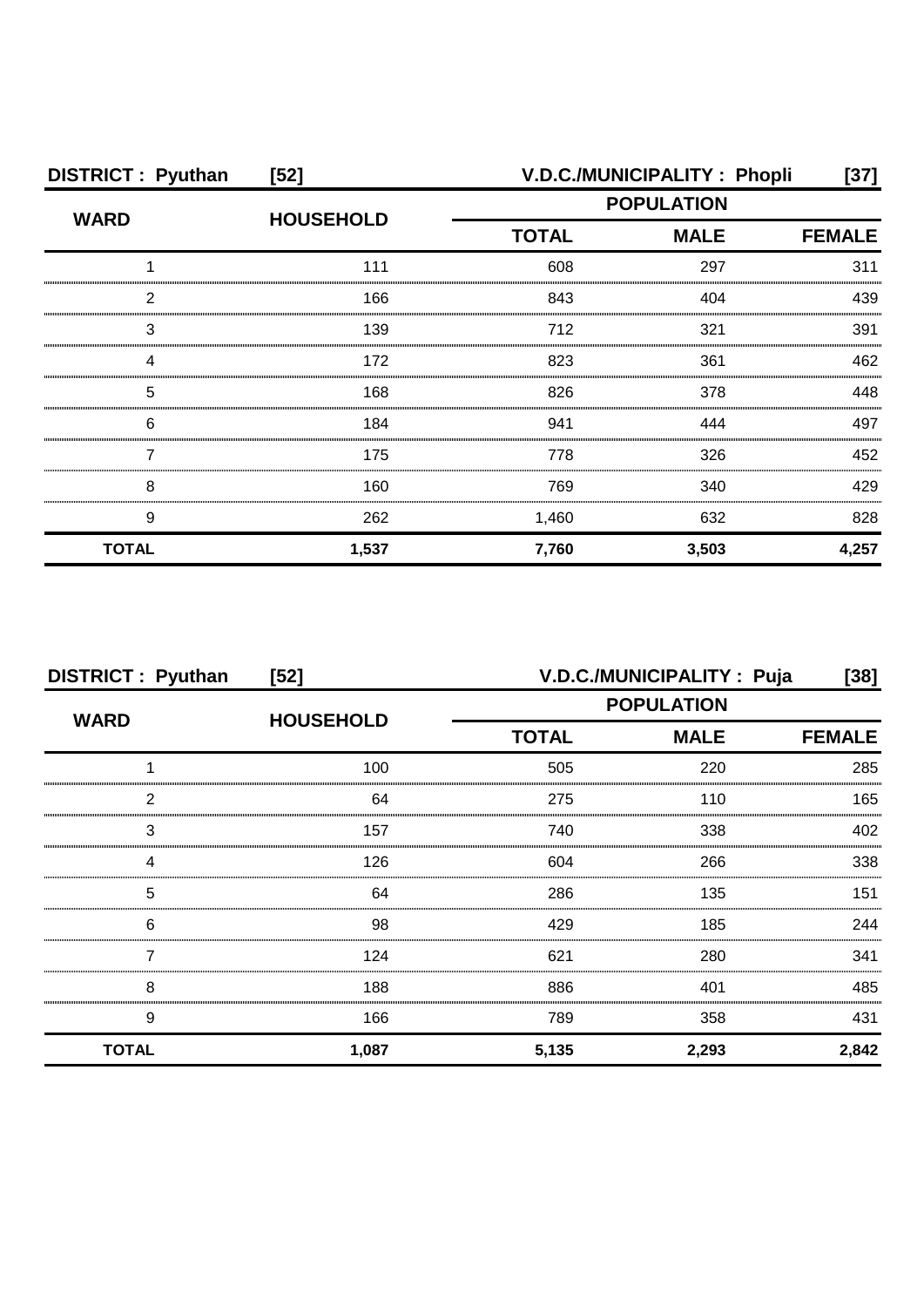| <b>DISTRICT: Pyuthan</b> | $[52]$           |                   | V.D.C./MUNICIPALITY: Phopli | [37]          |
|--------------------------|------------------|-------------------|-----------------------------|---------------|
| <b>WARD</b>              | <b>HOUSEHOLD</b> | <b>POPULATION</b> |                             |               |
|                          |                  | <b>TOTAL</b>      | <b>MALE</b>                 | <b>FEMALE</b> |
|                          | 111              | 608               | 297                         | 311           |
| っ                        | 166              | 843               | 404                         | 439           |
| 3                        | 139              | 712               | 321                         | 391           |
|                          | 172              | 823               | 361                         | 462           |
| 5                        | 168              | 826               | 378                         | 448           |
| 6                        | 184              | 941               | 444                         | 497           |
|                          | 175              | 778               | 326                         | 452           |
| 8                        | 160              | 769               | 340                         | 429           |
| 9                        | 262              | 1,460             | 632                         | 828           |
| <b>TOTAL</b>             | 1,537            | 7,760             | 3,503                       | 4,257         |

| <b>DISTRICT: Pyuthan</b> | [52]             | V.D.C./MUNICIPALITY : Puja       |               | [38]  |
|--------------------------|------------------|----------------------------------|---------------|-------|
| <b>WARD</b>              | <b>HOUSEHOLD</b> | <b>POPULATION</b><br><b>MALE</b> |               |       |
|                          |                  | <b>TOTAL</b>                     | <b>FEMALE</b> |       |
|                          | 100              | 505                              | 220           | 285   |
| 2                        | 64               | 275                              | 110           | 165   |
| 3                        | 157              | 740                              | 338           | 402   |
|                          | 126              | 604                              | 266           | 338   |
| 5                        | 64               | 286                              | 135           | 151   |
| 6                        | 98               | 429                              | 185           | 244   |
|                          | 124              | 621                              | 280           | 341   |
| 8                        | 188              | 886                              | 401           | 485   |
| 9                        | 166              | 789                              | 358           | 431   |
| <b>TOTAL</b>             | 1,087            | 5,135                            | 2,293         | 2,842 |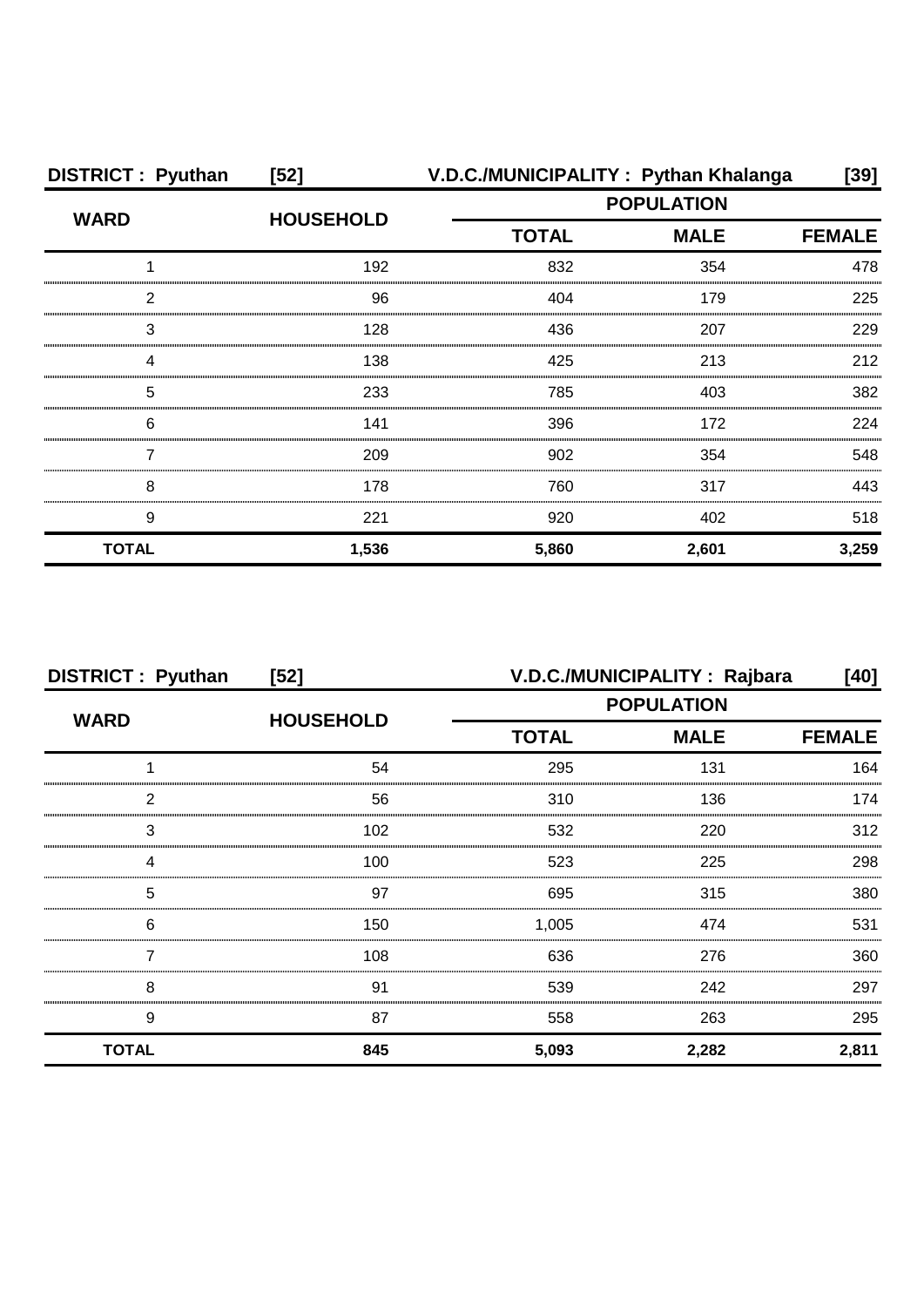| <b>DISTRICT: Pyuthan</b> | $[52]$           |              | V.D.C./MUNICIPALITY: Pythan Khalanga | $[39]$        |
|--------------------------|------------------|--------------|--------------------------------------|---------------|
| <b>WARD</b>              | <b>HOUSEHOLD</b> |              | <b>POPULATION</b>                    |               |
|                          |                  | <b>TOTAL</b> | <b>MALE</b>                          | <b>FEMALE</b> |
|                          | 192              | 832          | 354                                  | 478           |
| 2                        | 96               | 404          | 179                                  | 225           |
| 3                        | 128              | 436          | 207                                  | 229           |
| Δ                        | 138              | 425          | 213                                  | 212           |
| 5                        | 233              | 785          | 403                                  | 382           |
| 6                        | 141              | 396          | 172                                  | 224           |
|                          | 209              | 902          | 354                                  | 548           |
| 8                        | 178              | 760          | 317                                  | 443           |
| 9                        | 221              | 920          | 402                                  | 518           |
| <b>TOTAL</b>             | 1,536            | 5,860        | 2,601                                | 3,259         |

| <b>DISTRICT: Pyuthan</b> | $[52]$           | V.D.C./MUNICIPALITY: Rajbara |             |               |
|--------------------------|------------------|------------------------------|-------------|---------------|
| <b>WARD</b>              | <b>HOUSEHOLD</b> | <b>POPULATION</b>            |             |               |
|                          |                  | <b>TOTAL</b>                 | <b>MALE</b> | <b>FEMALE</b> |
|                          | 54               | 295                          | 131         | 164           |
| っ                        | 56               | 310                          | 136         | 174           |
| 3                        | 102              | 532                          | 220         | 312           |
|                          | 100              | 523                          | 225         | 298           |
| 5                        | 97               | 695                          | 315         | 380           |
| 6                        | 150              | 1,005                        | 474         | 531           |
|                          | 108              | 636                          | 276         | 360           |
| 8                        | 91               | 539                          | 242         | 297           |
| 9                        | 87               | 558                          | 263         | 295           |
| <b>TOTAL</b>             | 845              | 5,093                        | 2,282       | 2,811         |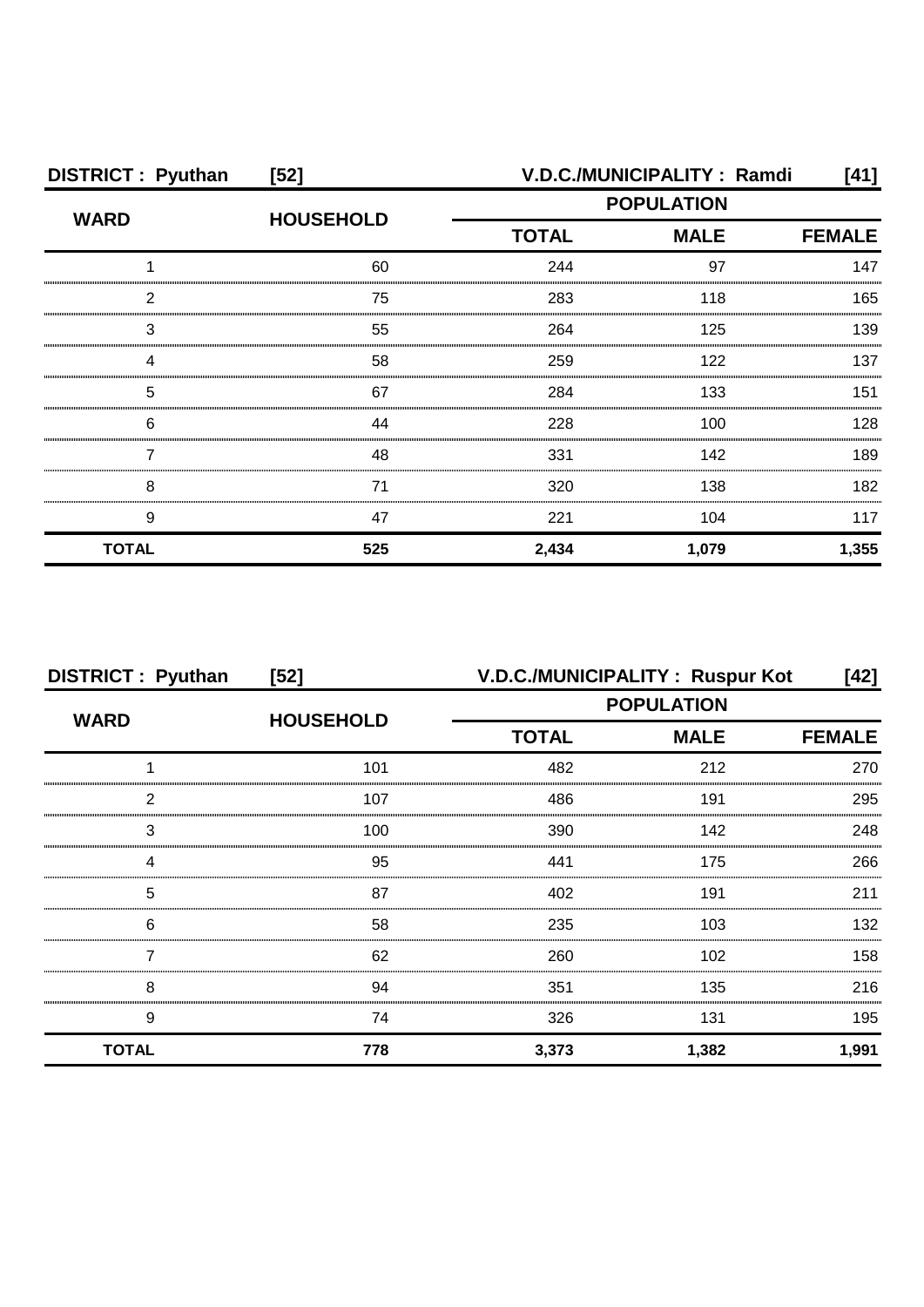| <b>DISTRICT: Pyuthan</b> | $[52]$           | V.D.C./MUNICIPALITY: Ramdi                       |       |               |
|--------------------------|------------------|--------------------------------------------------|-------|---------------|
| <b>WARD</b>              | <b>HOUSEHOLD</b> | <b>POPULATION</b><br><b>TOTAL</b><br><b>MALE</b> |       |               |
|                          |                  |                                                  |       | <b>FEMALE</b> |
|                          | 60               | 244                                              | 97    | 147           |
| っ                        | 75               | 283                                              | 118   | 165           |
| З                        | 55               | 264                                              | 125   | 139           |
|                          | 58               | 259                                              | 122   | 137           |
| 5                        | 67               | 284                                              | 133   | 151           |
| 6                        | 44               | 228                                              | 100   | 128           |
|                          | 48               | 331                                              | 142   | 189           |
| 8                        | 71               | 320                                              | 138   | 182           |
| 9                        | 47               | 221                                              | 104   | 117           |
| <b>TOTAL</b>             | 525              | 2,434                                            | 1,079 | 1,355         |

| <b>DISTRICT: Pyuthan</b> | $[52]$           | V.D.C./MUNICIPALITY: Ruspur Kot |                   | [42]          |  |
|--------------------------|------------------|---------------------------------|-------------------|---------------|--|
| <b>WARD</b>              | <b>HOUSEHOLD</b> |                                 | <b>POPULATION</b> |               |  |
|                          |                  | <b>TOTAL</b>                    | <b>MALE</b>       | <b>FEMALE</b> |  |
|                          | 101              | 482                             | 212               | 270           |  |
| 2                        | 107              | 486                             | 191               | 295           |  |
| 3                        | 100              | 390                             | 142               | 248           |  |
| Δ                        | 95               | 441                             | 175               | 266           |  |
| 5                        | 87               | 402                             | 191               | 211           |  |
| 6                        | 58               | 235                             | 103               | 132           |  |
|                          | 62               | 260                             | 102               | 158           |  |
| 8                        | 94               | 351                             | 135               | 216           |  |
| 9                        | 74               | 326                             | 131               | 195           |  |
| <b>TOTAL</b>             | 778              | 3,373                           | 1,382             | 1,991         |  |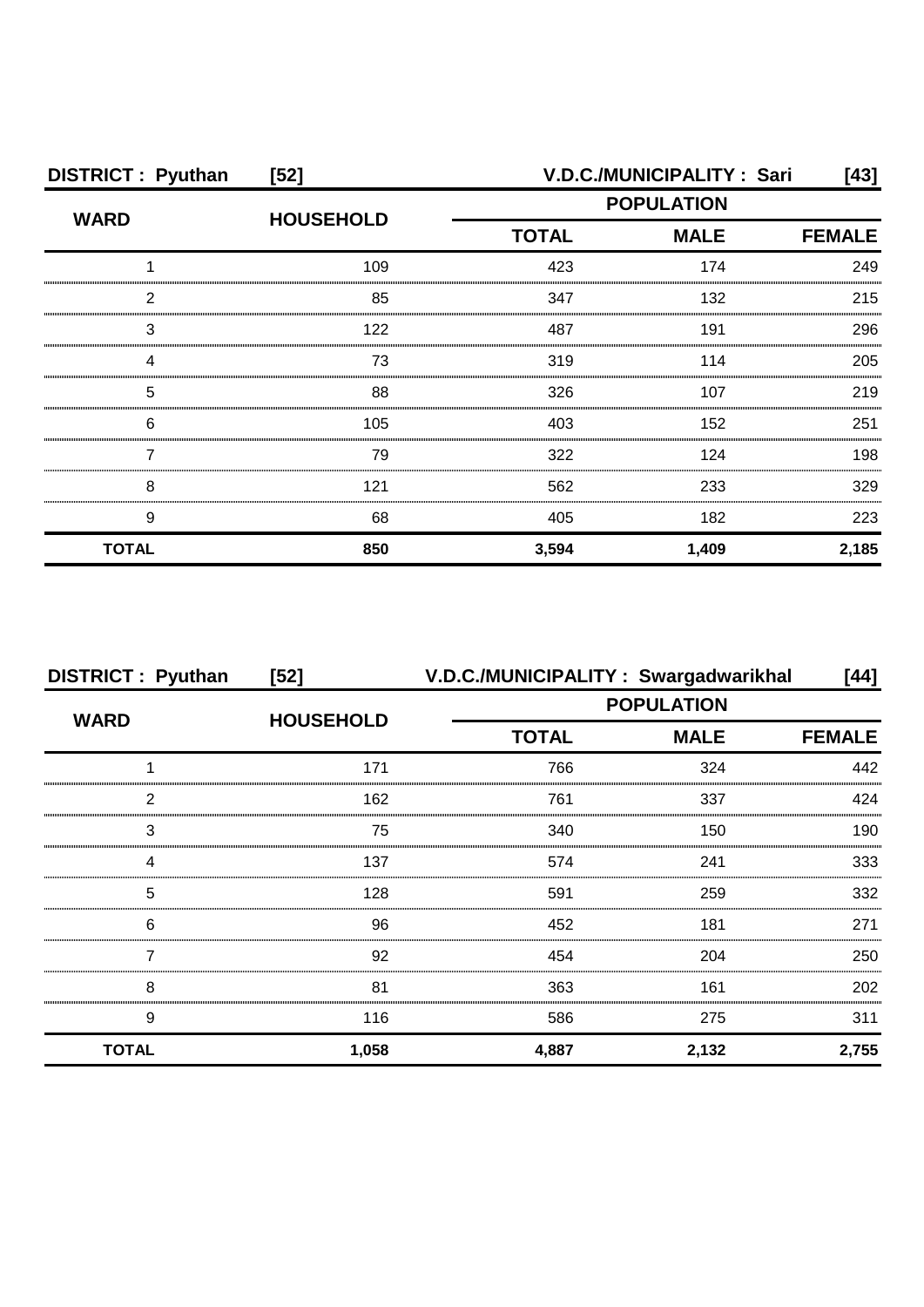| <b>DISTRICT: Pyuthan</b> | $[52]$           | V.D.C./MUNICIPALITY: Sari<br>$[43]$ |                                                                |               |  |
|--------------------------|------------------|-------------------------------------|----------------------------------------------------------------|---------------|--|
|                          | <b>HOUSEHOLD</b> |                                     | <b>POPULATION</b><br><b>MALE</b><br><b>TOTAL</b><br>423<br>174 |               |  |
| <b>WARD</b>              |                  |                                     |                                                                | <b>FEMALE</b> |  |
|                          | 109              |                                     |                                                                | 249           |  |
| 2                        | 85               | 347                                 | 132                                                            | 215           |  |
| 3                        | 122              | 487                                 | 191                                                            | 296           |  |
|                          | 73               | 319                                 | 114                                                            | 205           |  |
| 5                        | 88               | 326                                 | 107                                                            | 219           |  |
| 6                        | 105              | 403                                 | 152                                                            | 251           |  |
|                          | 79               | 322                                 | 124                                                            | 198           |  |
| 8                        | 121              | 562                                 | 233                                                            | 329           |  |
| 9                        | 68               | 405                                 | 182                                                            | 223           |  |
| <b>TOTAL</b>             | 850              | 3,594                               | 1,409                                                          | 2,185         |  |

| <b>DISTRICT: Pyuthan</b> | $[52]$           | V.D.C./MUNICIPALITY: Swargadwarikhal |                   | [44]          |  |
|--------------------------|------------------|--------------------------------------|-------------------|---------------|--|
| <b>WARD</b>              | <b>HOUSEHOLD</b> |                                      | <b>POPULATION</b> |               |  |
|                          |                  | <b>TOTAL</b><br><b>MALE</b>          |                   | <b>FEMALE</b> |  |
|                          | 171              | 766                                  | 324               | 442           |  |
| っ                        | 162              | 761                                  | 337               | 424           |  |
| 3                        | 75               | 340                                  | 150               | 190           |  |
|                          | 137              | 574                                  | 241               | 333           |  |
| 5                        | 128              | 591                                  | 259               | 332           |  |
| 6                        | 96               | 452                                  | 181               | 271           |  |
|                          | 92               | 454                                  | 204               | 250           |  |
| 8                        | 81               | 363                                  | 161               | 202           |  |
| 9                        | 116              | 586                                  | 275               | 311           |  |
| <b>TOTAL</b>             | 1,058            | 4,887                                | 2,132             | 2,755         |  |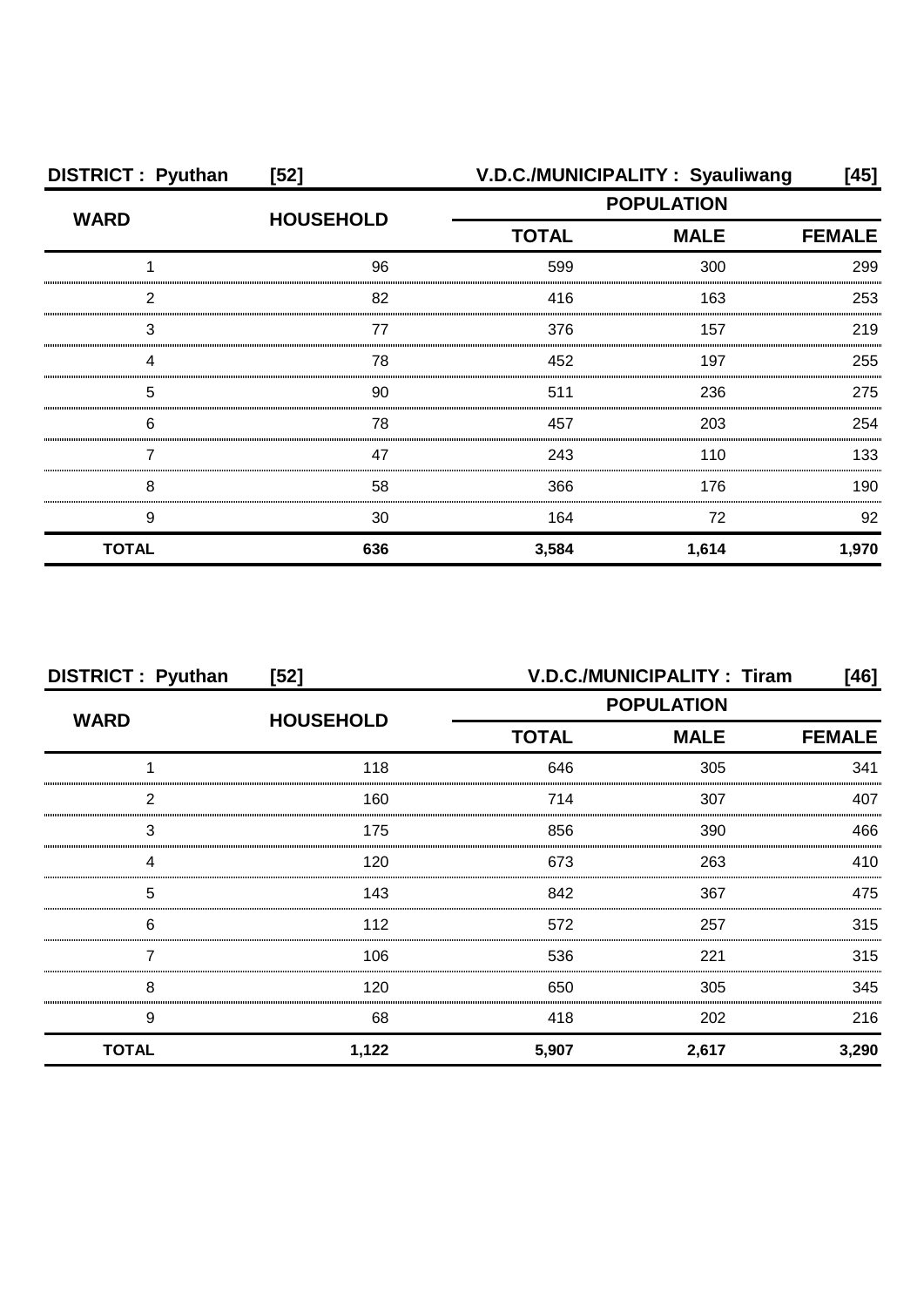| <b>DISTRICT: Pyuthan</b> | $[52]$           | V.D.C./MUNICIPALITY: Syauliwang |             | [45]          |
|--------------------------|------------------|---------------------------------|-------------|---------------|
| <b>WARD</b>              | <b>HOUSEHOLD</b> | <b>POPULATION</b>               |             |               |
|                          |                  | <b>TOTAL</b>                    | <b>MALE</b> | <b>FEMALE</b> |
|                          | 96               | 599                             | 300         | 299           |
| 2                        | 82               | 416                             | 163         | 253           |
| З                        | 77               | 376                             | 157         | 219           |
| Δ                        | 78               | 452                             | 197         | 255           |
| 5                        | 90               | 511                             | 236         | 275           |
| 6                        | 78               | 457                             | 203         | 254           |
|                          | 47               | 243                             | 110         | 133           |
| 8                        | 58               | 366                             | 176         | 190           |
| 9                        | 30               | 164                             | 72          | 92            |
| <b>TOTAL</b>             | 636              | 3,584                           | 1,614       | 1,970         |

| <b>DISTRICT: Pyuthan</b> | $[52]$           |                   | <b>V.D.C./MUNICIPALITY: Tiram</b> | [46]          |
|--------------------------|------------------|-------------------|-----------------------------------|---------------|
| <b>WARD</b>              | <b>HOUSEHOLD</b> | <b>POPULATION</b> |                                   |               |
|                          |                  | <b>TOTAL</b>      | <b>MALE</b>                       | <b>FEMALE</b> |
|                          | 118              | 646               | 305                               | 341           |
| 2                        | 160              | 714               | 307                               | 407           |
| 3                        | 175              | 856               | 390                               | 466           |
|                          | 120              | 673               | 263                               | 410           |
| 5                        | 143              | 842               | 367                               | 475           |
| 6                        | 112              | 572               | 257                               | 315           |
|                          | 106              | 536               | 221                               | 315           |
| 8                        | 120              | 650               | 305                               | 345           |
| 9                        | 68               | 418               | 202                               | 216           |
| <b>TOTAL</b>             | 1,122            | 5,907             | 2,617                             | 3,290         |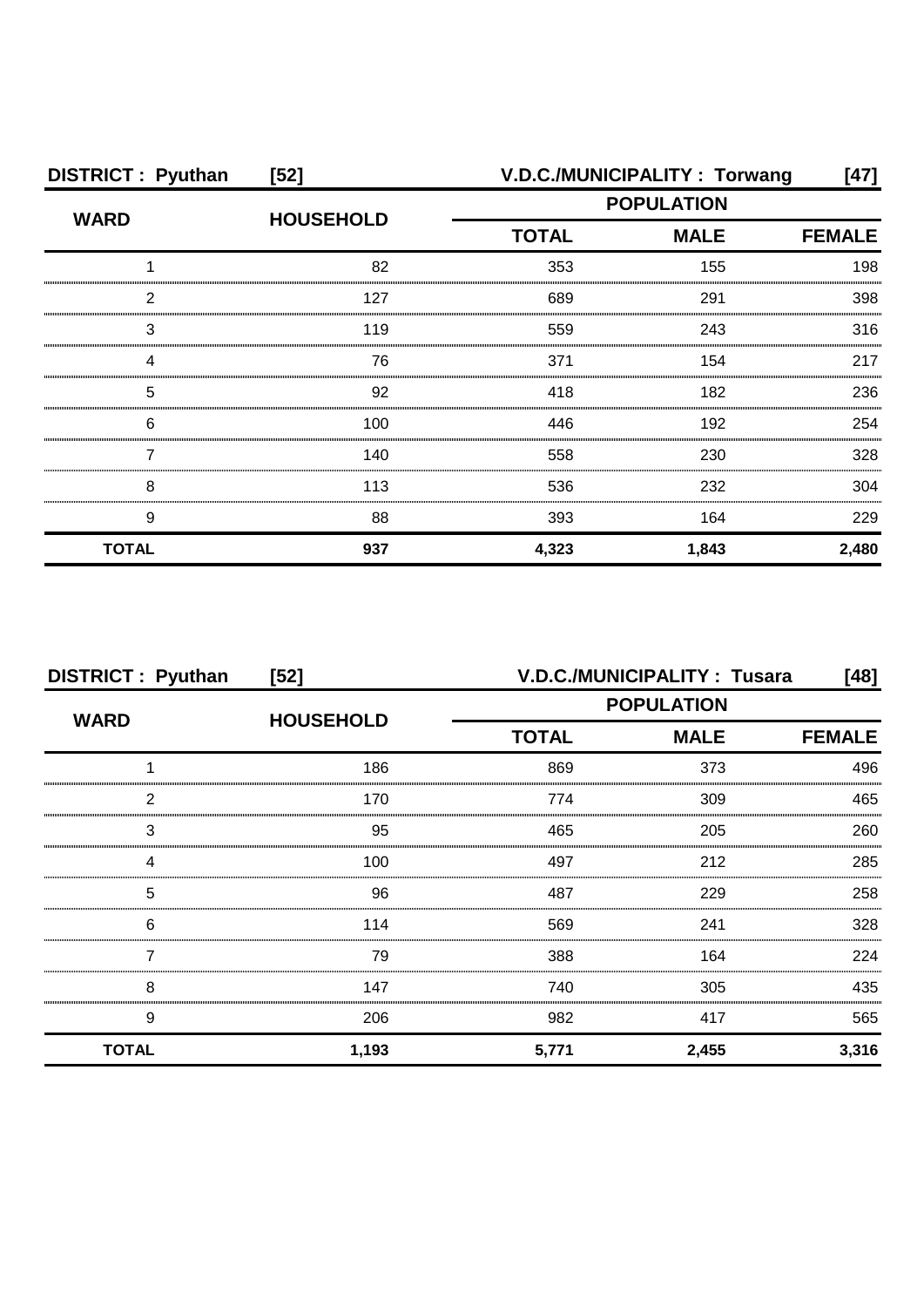| <b>DISTRICT: Pyuthan</b> | $[52]$           | V.D.C./MUNICIPALITY: Torwang |             |               |
|--------------------------|------------------|------------------------------|-------------|---------------|
| <b>WARD</b>              | <b>HOUSEHOLD</b> | <b>POPULATION</b>            |             |               |
|                          |                  | <b>TOTAL</b>                 | <b>MALE</b> | <b>FEMALE</b> |
|                          | 82               | 353                          | 155         | 198           |
| 2                        | 127              | 689                          | 291         | 398           |
| 3                        | 119              | 559                          | 243         | 316           |
|                          | 76               | 371                          | 154         | 217           |
| 5                        | 92               | 418                          | 182         | 236           |
| 6                        | 100              | 446                          | 192         | 254           |
|                          | 140              | 558                          | 230         | 328           |
| 8                        | 113              | 536                          | 232         | 304           |
| 9                        | 88               | 393                          | 164         | 229           |
| <b>TOTAL</b>             | 937              | 4,323                        | 1,843       | 2,480         |

| <b>DISTRICT: Pyuthan</b> | $[52]$           | <b>V.D.C./MUNICIPALITY: Tusara</b> |             |               |
|--------------------------|------------------|------------------------------------|-------------|---------------|
| <b>WARD</b>              | <b>HOUSEHOLD</b> | <b>POPULATION</b>                  |             |               |
|                          |                  | <b>TOTAL</b>                       | <b>MALE</b> | <b>FEMALE</b> |
|                          | 186              | 869                                | 373         | 496           |
| 2                        | 170              | 774                                | 309         | 465           |
| 3                        | 95               | 465                                | 205         | 260           |
|                          | 100              | 497                                | 212         | 285           |
| 5                        | 96               | 487                                | 229         | 258           |
| 6                        | 114              | 569                                | 241         | 328           |
|                          | 79               | 388                                | 164         | 224           |
| 8                        | 147              | 740                                | 305         | 435           |
| 9                        | 206              | 982                                | 417         | 565           |
| <b>TOTAL</b>             | 1,193            | 5,771                              | 2,455       | 3,316         |